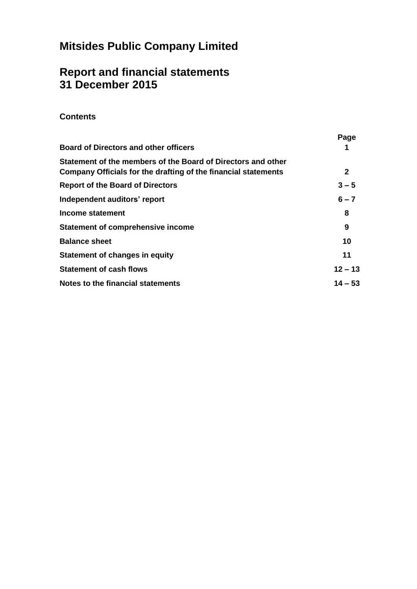# **Report and financial statements 31 December 2015**

# **Contents**

| Page      |
|-----------|
|           |
|           |
| 2         |
| $3 - 5$   |
| $6 - 7$   |
| 8         |
| 9         |
| 10        |
| 11        |
| $12 - 13$ |
| $14 - 53$ |
|           |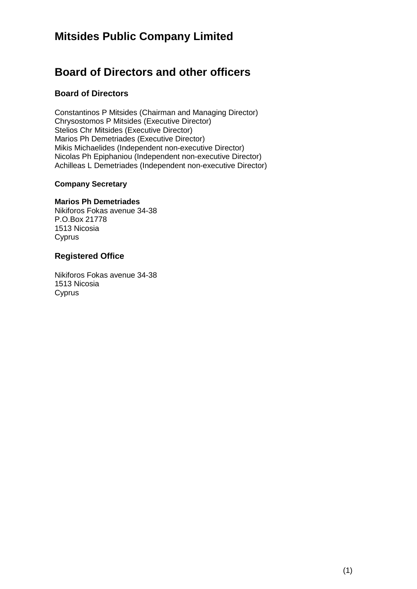# **Board of Directors and other officers**

# **Board of Directors**

Constantinos P Mitsides (Chairman and Managing Director) Chrysostomos P Mitsides (Executive Director) Stelios Chr Mitsides (Executive Director) Marios Ph Demetriades (Executive Director) Mikis Michaelides (Independent non-executive Director) Nicolas Ph Epiphaniou (Independent non-executive Director) Achilleas L Demetriades (Independent non-executive Director)

### **Company Secretary**

### **Marios Ph Demetriades**

Nikiforos Fokas avenue 34-38 P.O.Box 21778 1513 Nicosia Cyprus

## **Registered Office**

Nikiforos Fokas avenue 34-38 1513 Nicosia Cyprus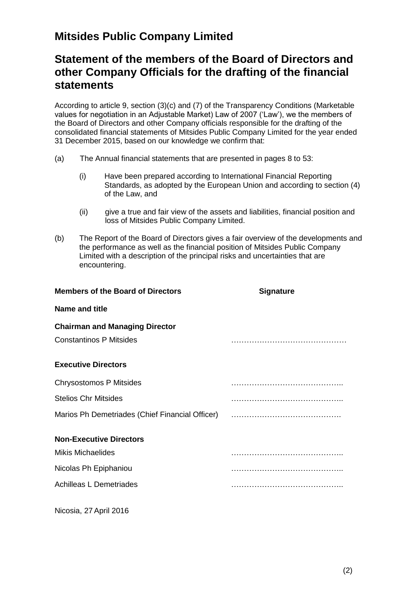# **Statement of the members of the Board of Directors and other Company Officials for the drafting of the financial statements**

According to article 9, section (3)(c) and (7) of the Transparency Conditions (Marketable values for negotiation in an Adjustable Market) Law of 2007 ('Law'), we the members of the Board of Directors and other Company officials responsible for the drafting of the consolidated financial statements of Mitsides Public Company Limited for the year ended 31 December 2015, based on our knowledge we confirm that:

- (a) The Annual financial statements that are presented in pages 8 to 53:
	- (i) Have been prepared according to International Financial Reporting Standards, as adopted by the European Union and according to section (4) of the Law, and
	- (ii) give a true and fair view of the assets and liabilities, financial position and loss of Mitsides Public Company Limited.
- (b) The Report of the Board of Directors gives a fair overview of the developments and the performance as well as the financial position of Mitsides Public Company Limited with a description of the principal risks and uncertainties that are encountering.

| <b>Members of the Board of Directors</b> | <b>Signature</b> |
|------------------------------------------|------------------|
| Name and title                           |                  |
| <b>Chairman and Managing Director</b>    |                  |
| <b>Constantinos P Mitsides</b>           |                  |
| <b>Executive Directors</b>               |                  |
| Chrysostomos P Mitsides                  |                  |
| <b>Stelios Chr Mitsides</b>              |                  |
|                                          |                  |
| <b>Non-Executive Directors</b>           |                  |
| Mikis Michaelides                        |                  |
| Nicolas Ph Epiphaniou                    |                  |
| <b>Achilleas L Demetriades</b>           |                  |
|                                          |                  |

Nicosia, 27 April 2016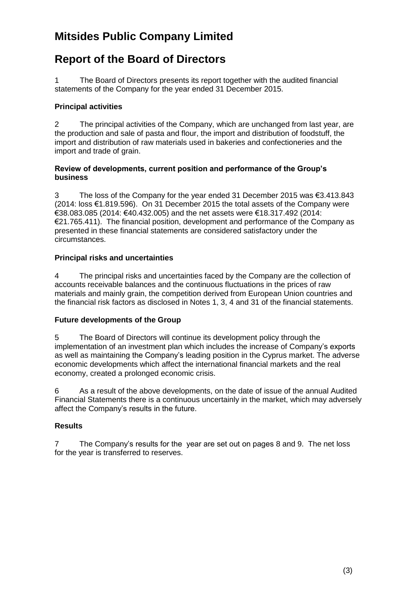# **Report of the Board of Directors**

1 The Board of Directors presents its report together with the audited financial statements of the Company for the year ended 31 December 2015.

# **Principal activities**

2 The principal activities of the Company, which are unchanged from last year, are the production and sale of pasta and flour, the import and distribution of foodstuff, the import and distribution of raw materials used in bakeries and confectioneries and the import and trade of grain.

#### **Review of developments, current position and performance of the Group's business**

3 The loss of the Company for the year ended 31 December 2015 was €3.413.843  $(2014: \text{loss} \leq 1.819.596)$ . On 31 December 2015 the total assets of the Company were €38.083.085 (2014: €40.432.005) and the net assets were €18.317.492 (2014: €21.765.411). The financial position, development and performance of the Company as presented in these financial statements are considered satisfactory under the circumstances.

## **Principal risks and uncertainties**

4 The principal risks and uncertainties faced by the Company are the collection of accounts receivable balances and the continuous fluctuations in the prices of raw materials and mainly grain, the competition derived from European Union countries and the financial risk factors as disclosed in Notes 1, 3, 4 and 31 of the financial statements.

### **Future developments of the Group**

5 The Board of Directors will continue its development policy through the implementation of an investment plan which includes the increase of Company's exports as well as maintaining the Company's leading position in the Cyprus market. The adverse economic developments which affect the international financial markets and the real economy, created a prolonged economic crisis.

6 As a result of the above developments, on the date of issue of the annual Audited Financial Statements there is a continuous uncertainly in the market, which may adversely affect the Company's results in the future.

### **Results**

7 The Company's results for the year are set out on pages 8 and 9. The net loss for the year is transferred to reserves.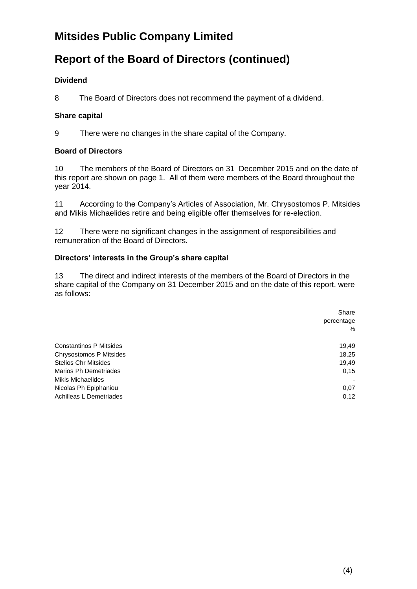# **Report of the Board of Directors (continued)**

## **Dividend**

8 The Board of Directors does not recommend the payment of a dividend.

### **Share capital**

9 There were no changes in the share capital of the Company.

### **Board of Directors**

10 The members of the Board of Directors on 31 December 2015 and on the date of this report are shown on page 1. All of them were members of the Board throughout the year 2014.

11 According to the Company's Articles of Association, Mr. Chrysostomos P. Mitsides and Mikis Michaelides retire and being eligible offer themselves for re-election.

12 There were no significant changes in the assignment of responsibilities and remuneration of the Board of Directors.

### **Directors' interests in the Group's share capital**

13 The direct and indirect interests of the members of the Board of Directors in the share capital of the Company on 31 December 2015 and on the date of this report, were as follows:

|                             | Share<br>percentage<br>% |
|-----------------------------|--------------------------|
| Constantinos P Mitsides     | 19,49                    |
| Chrysostomos P Mitsides     | 18,25                    |
| <b>Stelios Chr Mitsides</b> | 19,49                    |
| Marios Ph Demetriades       | 0,15                     |
| Mikis Michaelides           |                          |
| Nicolas Ph Epiphaniou       | 0.07                     |
| Achilleas L Demetriades     | 0,12                     |
|                             |                          |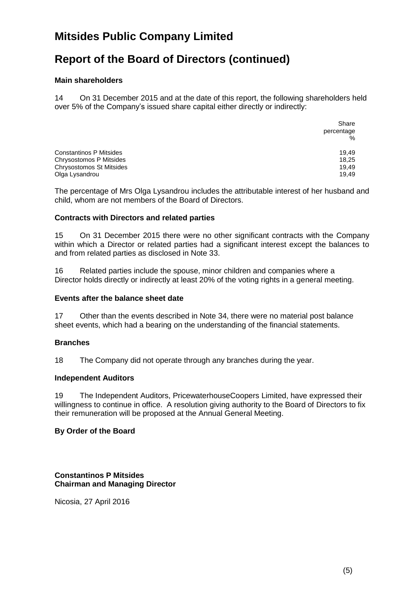# **Report of the Board of Directors (continued)**

#### **Main shareholders**

14 On 31 December 2015 and at the date of this report, the following shareholders held over 5% of the Company's issued share capital either directly or indirectly:

|                                | Share      |
|--------------------------------|------------|
|                                | percentage |
|                                | $\%$       |
| <b>Constantinos P Mitsides</b> | 19.49      |
| Chrysostomos P Mitsides        | 18.25      |
| Chrysostomos St Mitsides       | 19.49      |
| Olga Lysandrou                 | 19.49      |

The percentage of Mrs Olga Lysandrou includes the attributable interest of her husband and child, whom are not members of the Board of Directors.

#### **Contracts with Directors and related parties**

15 On 31 December 2015 there were no other significant contracts with the Company within which a Director or related parties had a significant interest except the balances to and from related parties as disclosed in Note 33.

16 Related parties include the spouse, minor children and companies where a Director holds directly or indirectly at least 20% of the voting rights in a general meeting.

#### **Events after the balance sheet date**

17 Other than the events described in Note 34, there were no material post balance sheet events, which had a bearing on the understanding of the financial statements.

#### **Branches**

18 The Company did not operate through any branches during the year.

#### **Independent Auditors**

19 The Independent Auditors, PricewaterhouseCoopers Limited, have expressed their willingness to continue in office. A resolution giving authority to the Board of Directors to fix their remuneration will be proposed at the Annual General Meeting.

#### **By Order of the Board**

#### **Constantinos P Mitsides Chairman and Managing Director**

Nicosia, 27 April 2016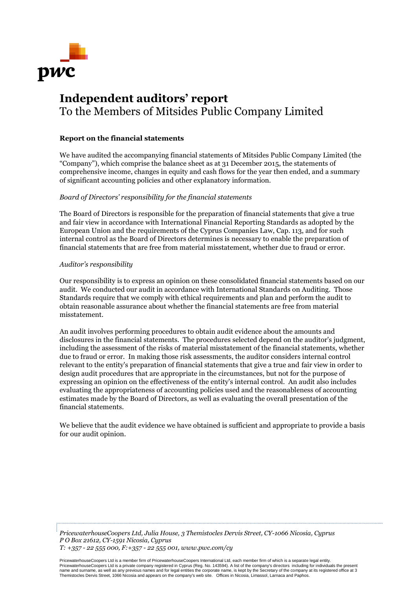

# **Independent auditors' report** To the Members of Mitsides Public Company Limited

#### **Report on the financial statements**

We have audited the accompanying financial statements of Mitsides Public Company Limited (the "Company"), which comprise the balance sheet as at 31 December 2015, the statements of comprehensive income, changes in equity and cash flows for the year then ended, and a summary of significant accounting policies and other explanatory information.

#### *Board of Directors' responsibility for the financial statements*

The Board of Directors is responsible for the preparation of financial statements that give a true and fair view in accordance with International Financial Reporting Standards as adopted by the European Union and the requirements of the Cyprus Companies Law, Cap. 113, and for such internal control as the Board of Directors determines is necessary to enable the preparation of financial statements that are free from material misstatement, whether due to fraud or error.

#### *Auditor's responsibility*

Our responsibility is to express an opinion on these consolidated financial statements based on our audit. We conducted our audit in accordance with International Standards on Auditing. Those Standards require that we comply with ethical requirements and plan and perform the audit to obtain reasonable assurance about whether the financial statements are free from material misstatement.

An audit involves performing procedures to obtain audit evidence about the amounts and disclosures in the financial statements. The procedures selected depend on the auditor's judgment, including the assessment of the risks of material misstatement of the financial statements, whether due to fraud or error. In making those risk assessments, the auditor considers internal control relevant to the entity's preparation of financial statements that give a true and fair view in order to design audit procedures that are appropriate in the circumstances, but not for the purpose of expressing an opinion on the effectiveness of the entity's internal control. An audit also includes evaluating the appropriateness of accounting policies used and the reasonableness of accounting estimates made by the Board of Directors, as well as evaluating the overall presentation of the financial statements.

We believe that the audit evidence we have obtained is sufficient and appropriate to provide a basis for our audit opinion.

*PricewaterhouseCoopers Ltd, Julia House, 3 Themistocles Dervis Street, CY-1066 Nicosia, Cyprus P O Box 21612, CY-1591 Nicosia, Cyprus T: +357 - 22 555 000, F:+357 - 22 555 001, www.pwc.com/cy*

PricewaterhouseCoopers Ltd is a member firm of PricewaterhouseCoopers International Ltd, each member firm of which is a separate legal entity. PricewaterhouseCoopers Ltd is a private company registered in Cyprus (Reg. No. 143594). A list of the company's directors including for individuals the present name and surname, as well as any previous names and for legal entities the corporate name, is kept by the Secretary of the company at its registered office at 3<br>Themistocles Dervis Street, 1066 Nicosia and appears on the c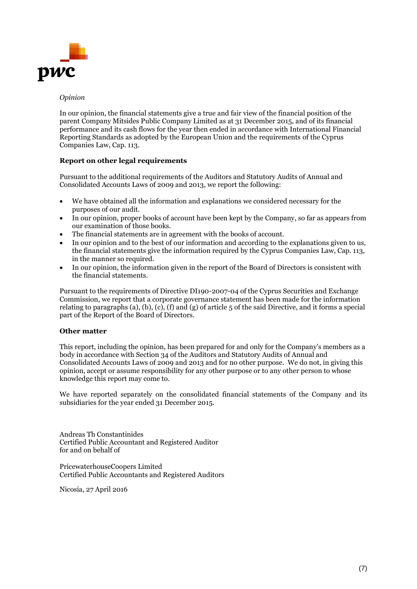

#### *Opinion*

In our opinion, the financial statements give a true and fair view of the financial position of the parent Company Mitsides Public Company Limited as at 31 December 2015, and of its financial performance and its cash flows for the year then ended in accordance with International Financial Reporting Standards as adopted by the European Union and the requirements of the Cyprus Companies Law, Cap. 113.

#### **Report on other legal requirements**

Pursuant to the additional requirements of the Auditors and Statutory Audits of Annual and Consolidated Accounts Laws of 2009 and 2013, we report the following:

- We have obtained all the information and explanations we considered necessary for the purposes of our audit.
- In our opinion, proper books of account have been kept by the Company, so far as appears from our examination of those books.
- The financial statements are in agreement with the books of account.
- In our opinion and to the best of our information and according to the explanations given to us, the financial statements give the information required by the Cyprus Companies Law, Cap. 113, in the manner so required.
- In our opinion, the information given in the report of the Board of Directors is consistent with the financial statements.

Pursuant to the requirements of Directive DI190-2007-04 of the Cyprus Securities and Exchange Commission, we report that a corporate governance statement has been made for the information relating to paragraphs (a), (b), (c), (f) and (g) of article 5 of the said Directive, and it forms a special part of the Report of the Board of Directors.

#### **Other matter**

This report, including the opinion, has been prepared for and only for the Company's members as a body in accordance with Section 34 of the Auditors and Statutory Audits of Annual and Consolidated Accounts Laws of 2009 and 2013 and for no other purpose. We do not, in giving this opinion, accept or assume responsibility for any other purpose or to any other person to whose knowledge this report may come to.

We have reported separately on the consolidated financial statements of the Company and its subsidiaries for the year ended 31 December 2015.

Andreas Th Constantinides Certified Public Accountant and Registered Auditor for and on behalf of

PricewaterhouseCoopers Limited Certified Public Accountants and Registered Auditors

Nicosia, 27 April 2016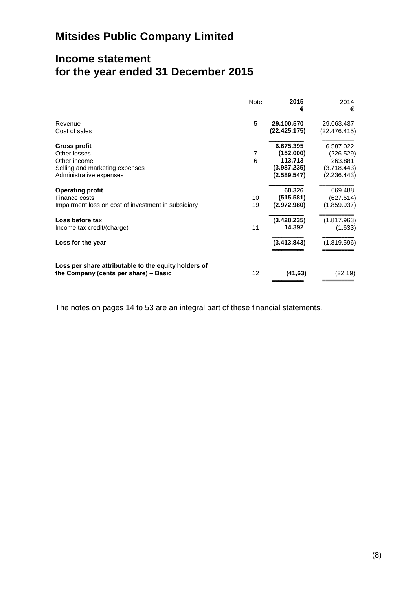# **Income statement for the year ended 31 December 2015**

|                                                      | <b>Note</b> | 2015<br>€    | 2014<br>€    |
|------------------------------------------------------|-------------|--------------|--------------|
| Revenue                                              | 5           | 29.100.570   | 29.063.437   |
| Cost of sales                                        |             | (22.425.175) | (22.476.415) |
| Gross profit                                         |             | 6.675.395    | 6.587.022    |
| Other losses                                         | 7           | (152.000)    | (226.529)    |
| Other income                                         | 6           | 113.713      | 263.881      |
| Selling and marketing expenses                       |             | (3.987.235)  | (3.718.443)  |
| Administrative expenses                              |             | (2.589.547)  | (2.236.443)  |
| <b>Operating profit</b>                              |             | 60.326       | 669.488      |
| Finance costs                                        | 10          | (515.581)    | (627.514)    |
| Impairment loss on cost of investment in subsidiary  | 19          | (2.972.980)  | (1.859.937)  |
| Loss before tax                                      |             | (3.428.235)  | (1.817.963)  |
| Income tax credit/(charge)                           | 11          | 14.392       | (1.633)      |
| Loss for the year                                    |             | (3.413.843)  | (1.819.596)  |
| Loss per share attributable to the equity holders of |             |              |              |
| the Company (cents per share) – Basic                | 12          | (41, 63)     | (22, 19)     |
|                                                      |             |              |              |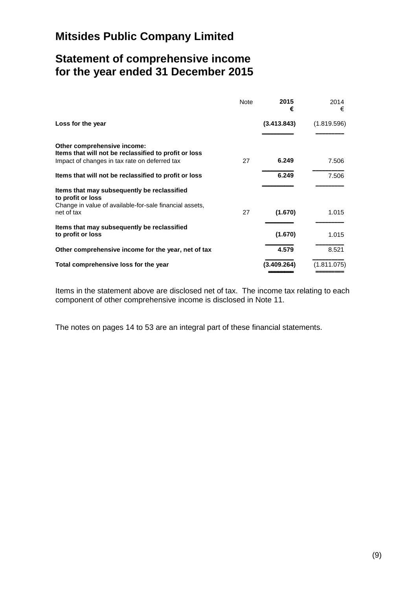# **Statement of comprehensive income for the year ended 31 December 2015**

|                                                                                      | <b>Note</b> | 2015<br>€   | 2014<br>€   |
|--------------------------------------------------------------------------------------|-------------|-------------|-------------|
| Loss for the year                                                                    |             | (3.413.843) | (1.819.596) |
| Other comprehensive income:<br>Items that will not be reclassified to profit or loss |             |             |             |
| Impact of changes in tax rate on deferred tax                                        | 27          | 6.249       | 7.506       |
| Items that will not be reclassified to profit or loss                                |             | 6.249       | 7.506       |
| Items that may subsequently be reclassified<br>to profit or loss                     |             |             |             |
| Change in value of available-for-sale financial assets,<br>net of tax                | 27          | (1.670)     | 1.015       |
| Items that may subsequently be reclassified<br>to profit or loss                     |             | (1.670)     | 1.015       |
| Other comprehensive income for the year, net of tax                                  |             | 4.579       | 8.521       |
| Total comprehensive loss for the year                                                |             | (3.409.264) | (1.811.075) |

Items in the statement above are disclosed net of tax. The income tax relating to each component of other comprehensive income is disclosed in Note 11.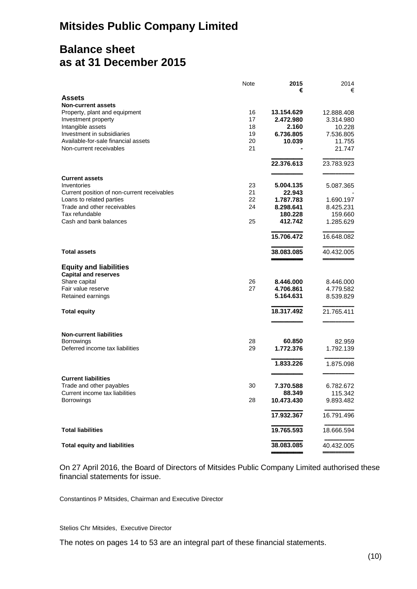# **Balance sheet as at 31 December 2015**

|                                                              | Note | 2015                | 2014                |
|--------------------------------------------------------------|------|---------------------|---------------------|
| <b>Assets</b>                                                |      | €                   | €                   |
| <b>Non-current assets</b>                                    |      |                     |                     |
| Property, plant and equipment                                | 16   | 13.154.629          | 12.888.408          |
| Investment property                                          | 17   | 2.472.980           | 3.314.980           |
| Intangible assets                                            | 18   | 2.160               | 10.228              |
| Investment in subsidiaries                                   | 19   | 6.736.805           | 7.536.805           |
| Available-for-sale financial assets                          | 20   | 10.039              | 11.755              |
| Non-current receivables                                      | 21   |                     | 21.747              |
|                                                              |      | 22.376.613          | 23.783.923          |
| <b>Current assets</b>                                        |      |                     |                     |
| Inventories                                                  | 23   | 5.004.135           | 5.087.365           |
| Current position of non-current receivables                  | 21   | 22.943              |                     |
| Loans to related parties                                     | 22   | 1.787.783           | 1.690.197           |
| Trade and other receivables                                  | 24   | 8.298.641           | 8.425.231           |
| Tax refundable                                               |      | 180.228             | 159.660             |
| Cash and bank balances                                       | 25   | 412.742             | 1.285.629           |
|                                                              |      | 15.706.472          | 16.648.082          |
| <b>Total assets</b>                                          |      | 38.083.085          | 40.432.005          |
|                                                              |      |                     |                     |
| <b>Equity and liabilities</b><br><b>Capital and reserves</b> |      |                     |                     |
| Share capital                                                | 26   | 8.446.000           | 8.446.000           |
| Fair value reserve                                           | 27   | 4.706.861           | 4.779.582           |
| Retained earnings                                            |      | 5.164.631           | 8.539.829           |
|                                                              |      |                     |                     |
| <b>Total equity</b>                                          |      | 18.317.492          | 21.765.411          |
|                                                              |      |                     |                     |
| <b>Non-current liabilities</b>                               | 28   |                     |                     |
| <b>Borrowings</b><br>Deferred income tax liabilities         | 29   | 60.850<br>1.772.376 | 82.959<br>1.792.139 |
|                                                              |      |                     |                     |
|                                                              |      | 1.833.226           | 1.875.098           |
|                                                              |      |                     |                     |
| <b>Current liabilities</b>                                   | 30   | 7.370.588           | 6.782.672           |
| Trade and other payables<br>Current income tax liabilities   |      | 88.349              | 115.342             |
| Borrowings                                                   | 28   | 10.473.430          | 9.893.482           |
|                                                              |      | 17.932.367          | 16.791.496          |
|                                                              |      |                     |                     |
| <b>Total liabilities</b>                                     |      | 19.765.593          | 18.666.594          |
| <b>Total equity and liabilities</b>                          |      | 38.083.085          | 40.432.005          |
|                                                              |      |                     |                     |

On 27 April 2016, the Board of Directors of Mitsides Public Company Limited authorised these financial statements for issue.

Constantinos P Mitsides, Chairman and Executive Director

Stelios Chr Mitsides, Executive Director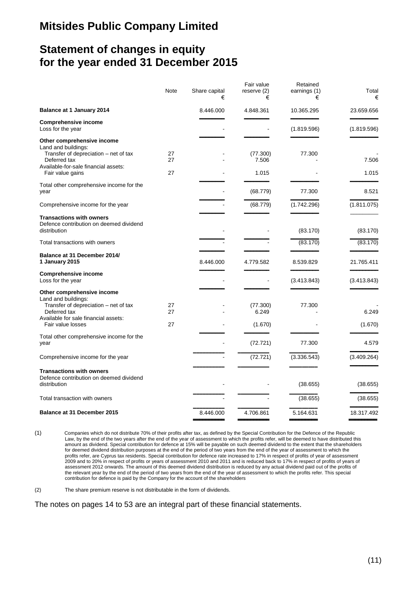# **Statement of changes in equity for the year ended 31 December 2015**

|                                                                                                                                                                         | Note           | Share capital<br>€ | Fair value<br>reserve $(2)$<br>€ | Retained<br>earnings (1)<br>€ | Total<br>€       |
|-------------------------------------------------------------------------------------------------------------------------------------------------------------------------|----------------|--------------------|----------------------------------|-------------------------------|------------------|
| Balance at 1 January 2014                                                                                                                                               |                | 8.446.000          | 4.848.361                        | 10.365.295                    | 23.659.656       |
| <b>Comprehensive income</b><br>Loss for the year                                                                                                                        |                |                    |                                  | (1.819.596)                   | (1.819.596)      |
| Other comprehensive income<br>Land and buildings:<br>Transfer of depreciation - net of tax<br>Deferred tax<br>Available-for-sale financial assets:<br>Fair value gains  | 27<br>27<br>27 |                    | (77.300)<br>7.506<br>1.015       | 77.300                        | 7.506<br>1.015   |
| Total other comprehensive income for the<br>year                                                                                                                        |                |                    | (68.779)                         | 77.300                        | 8.521            |
| Comprehensive income for the year                                                                                                                                       |                |                    | (68.779)                         | (1.742.296)                   | (1.811.075)      |
| <b>Transactions with owners</b><br>Defence contribution on deemed dividend<br>distribution                                                                              |                |                    |                                  | (83.170)                      | (83.170)         |
| Total transactions with owners                                                                                                                                          |                |                    |                                  | (83.170)                      | (83.170)         |
| Balance at 31 December 2014/<br>1 January 2015                                                                                                                          |                | 8.446.000          | 4.779.582                        | 8.539.829                     | 21.765.411       |
| <b>Comprehensive income</b><br>Loss for the year                                                                                                                        |                |                    |                                  | (3.413.843)                   | (3.413.843)      |
| Other comprehensive income<br>Land and buildings:<br>Transfer of depreciation - net of tax<br>Deferred tax<br>Available for sale financial assets:<br>Fair value losses | 27<br>27<br>27 |                    | (77.300)<br>6.249<br>(1.670)     | 77.300                        | 6.249<br>(1.670) |
| Total other comprehensive income for the<br>year                                                                                                                        |                |                    | (72.721)                         | 77.300                        | 4.579            |
| Comprehensive income for the year                                                                                                                                       |                |                    | (72.721)                         | (3.336.543)                   | (3.409.264)      |
| <b>Transactions with owners</b><br>Defence contribution on deemed dividend<br>distribution                                                                              |                |                    |                                  | (38.655)                      | (38.655)         |
| Total transaction with owners                                                                                                                                           |                |                    |                                  | (38.655)                      | (38.655)         |
| Balance at 31 December 2015                                                                                                                                             |                | 8.446.000          | 4.706.861                        | 5.164.631                     | 18.317.492       |

(1) Companies which do not distribute 70% of their profits after tax, as defined by the Special Contribution for the Defence of the Republic Law, by the end of the two years after the end of the year of assessment to which the profits refer, will be deemed to have distributed this amount as dividend. Special contribution for defence at 15% will be payable on such deemed dividend to the extent that the shareholders for deemed dividend distribution purposes at the end of the period of two years from the end of the year of assessment to which the profits refer, are Cyprus tax residents. Special contribution for defence rate increased to 17% in respect of profits of year of assessment 2009 and to 20% in respect of profits or years of assessment 2010 and 2011 and is reduced back to 17% in respect of profits of years of assessment 2012 onwards. The amount of this deemed dividend distribution is reduced by any actual dividend paid out of the profits of the relevant year by the end of the period of two years from the end of the year of assessment to which the profits refer. This special contribution for defence is paid by the Company for the account of the shareholders

(2) The share premium reserve is not distributable in the form of dividends.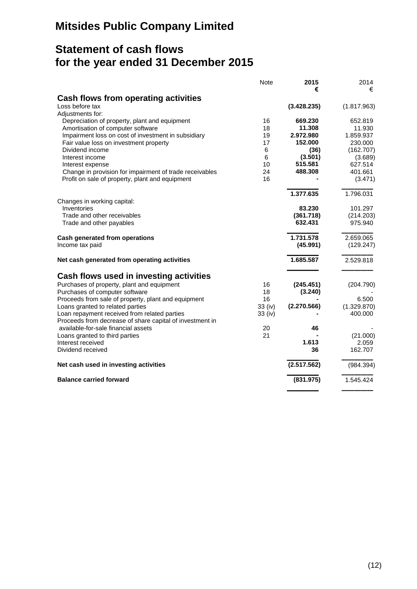# **Statement of cash flows for the year ended 31 December 2015**

|                                                                                                            | <b>Note</b> | 2015<br>€           | 2014<br>€            |
|------------------------------------------------------------------------------------------------------------|-------------|---------------------|----------------------|
| <b>Cash flows from operating activities</b>                                                                |             |                     |                      |
| Loss before tax<br>Adjustments for:                                                                        |             | (3.428.235)         | (1.817.963)          |
| Depreciation of property, plant and equipment                                                              | 16          | 669.230             | 652.819              |
| Amortisation of computer software                                                                          | 18          | 11.308              | 11.930               |
| Impairment loss on cost of investment in subsidiary                                                        | 19          | 2.972.980           | 1.859.937            |
| Fair value loss on investment property                                                                     | 17          | 152.000             | 230.000              |
| Dividend income                                                                                            | 6           | (36)                | (162.707)            |
| Interest income                                                                                            | 6           | (3.501)             | (3.689)              |
| Interest expense                                                                                           | 10          | 515.581             | 627.514              |
| Change in provision for impairment of trade receivables<br>Profit on sale of property, plant and equipment | 24<br>16    | 488,308             | 401.661<br>(3.471)   |
|                                                                                                            |             | 1.377.635           | 1.796.031            |
| Changes in working capital:                                                                                |             |                     |                      |
| Inventories<br>Trade and other receivables                                                                 |             | 83.230<br>(361.718) | 101.297<br>(214.203) |
| Trade and other payables                                                                                   |             | 632.431             | 975.940              |
| <b>Cash generated from operations</b>                                                                      |             | 1.731.578           | 2.659.065            |
| Income tax paid                                                                                            |             | (45.991)            | (129.247)            |
| Net cash generated from operating activities                                                               |             | 1.685.587           | 2.529.818            |
| Cash flows used in investing activities                                                                    |             |                     |                      |
| Purchases of property, plant and equipment                                                                 | 16          | (245.451)           | (204.790)            |
| Purchases of computer software                                                                             | 18          | (3.240)             |                      |
| Proceeds from sale of property, plant and equipment                                                        | 16          |                     | 6.500                |
| Loans granted to related parties                                                                           | $33$ (iv)   | (2.270.566)         | (1.329.870)          |
| Loan repayment received from related parties<br>Proceeds from decrease of share capital of investment in   | 33 (iv)     |                     | 400.000              |
| available-for-sale financial assets                                                                        | 20          | 46                  |                      |
| Loans granted to third parties                                                                             | 21          |                     | (21.000)             |
| Interest received                                                                                          |             | 1.613               | 2.059                |
| Dividend received                                                                                          |             | 36                  | 162.707              |
| Net cash used in investing activities                                                                      |             | (2.517.562)         | (984.394)            |
| <b>Balance carried forward</b>                                                                             |             | (831.975)           | 1.545.424            |
|                                                                                                            |             |                     |                      |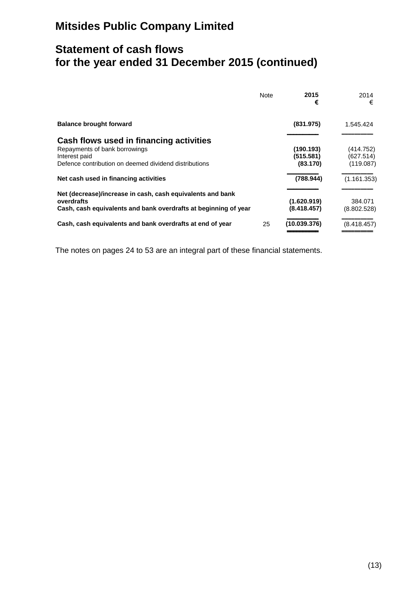# **Statement of cash flows for the year ended 31 December 2015 (continued)**

|                                                                                                                                                    | <b>Note</b> | 2015<br>€                          | 2014<br>€                           |
|----------------------------------------------------------------------------------------------------------------------------------------------------|-------------|------------------------------------|-------------------------------------|
| <b>Balance brought forward</b>                                                                                                                     |             | (831.975)                          | 1.545.424                           |
| Cash flows used in financing activities<br>Repayments of bank borrowings<br>Interest paid<br>Defence contribution on deemed dividend distributions |             | (190.193)<br>(515.581)<br>(83.170) | (414.752)<br>(627.514)<br>(119.087) |
| Net cash used in financing activities                                                                                                              |             | (788.944)                          | (1.161.353)                         |
| Net (decrease)/increase in cash, cash equivalents and bank<br>overdrafts<br>Cash, cash equivalents and bank overdrafts at beginning of year        |             | (1.620.919)<br>(8.418.457)         | 384.071<br>(8.802.528)              |
| Cash, cash equivalents and bank overdrafts at end of year                                                                                          | 25          | (10.039.376)                       | (8.418.457)                         |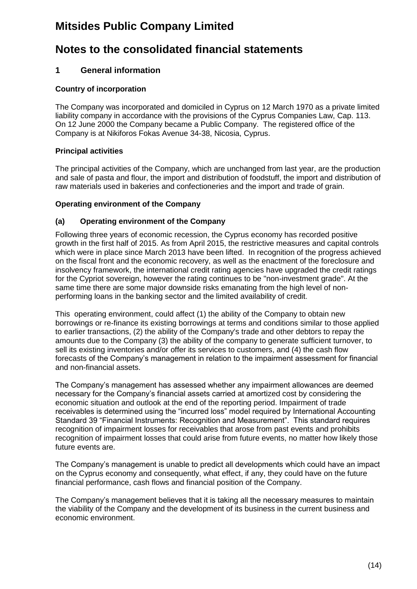# **Notes to the consolidated financial statements**

# **1 General information**

### **Country of incorporation**

The Company was incorporated and domiciled in Cyprus on 12 March 1970 as a private limited liability company in accordance with the provisions of the Cyprus Companies Law, Cap. 113. On 12 June 2000 the Company became a Public Company. The registered office of the Company is at Nikiforos Fokas Avenue 34-38, Nicosia, Cyprus.

### **Principal activities**

The principal activities of the Company, which are unchanged from last year, are the production and sale of pasta and flour, the import and distribution of foodstuff, the import and distribution of raw materials used in bakeries and confectioneries and the import and trade of grain.

### **Operating environment of the Company**

### **(a) Operating environment of the Company**

Following three years of economic recession, the Cyprus economy has recorded positive growth in the first half of 2015. As from April 2015, the restrictive measures and capital controls which were in place since March 2013 have been lifted. In recognition of the progress achieved on the fiscal front and the economic recovery, as well as the enactment of the foreclosure and insolvency framework, the international credit rating agencies have upgraded the credit ratings for the Cypriot sovereign, however the rating continues to be "non-investment grade". At the same time there are some major downside risks emanating from the high level of nonperforming loans in the banking sector and the limited availability of credit.

This operating environment, could affect (1) the ability of the Company to obtain new borrowings or re-finance its existing borrowings at terms and conditions similar to those applied to earlier transactions, (2) the ability of the Company's trade and other debtors to repay the amounts due to the Company (3) the ability of the company to generate sufficient turnover, to sell its existing inventories and/or offer its services to customers, and (4) the cash flow forecasts of the Company's management in relation to the impairment assessment for financial and non-financial assets.

The Company's management has assessed whether any impairment allowances are deemed necessary for the Company's financial assets carried at amortized cost by considering the economic situation and outlook at the end of the reporting period. Impairment of trade receivables is determined using the "incurred loss" model required by International Accounting Standard 39 "Financial Instruments: Recognition and Measurement". This standard requires recognition of impairment losses for receivables that arose from past events and prohibits recognition of impairment losses that could arise from future events, no matter how likely those future events are.

The Company's management is unable to predict all developments which could have an impact on the Cyprus economy and consequently, what effect, if any, they could have on the future financial performance, cash flows and financial position of the Company.

The Company's management believes that it is taking all the necessary measures to maintain the viability of the Company and the development of its business in the current business and economic environment.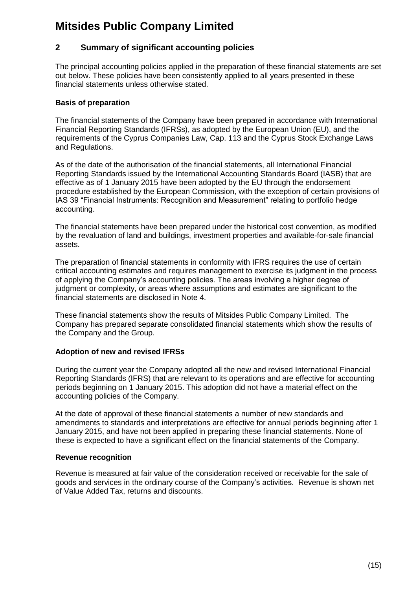# **2 Summary of significant accounting policies**

The principal accounting policies applied in the preparation of these financial statements are set out below. These policies have been consistently applied to all years presented in these financial statements unless otherwise stated.

#### **Basis of preparation**

The financial statements of the Company have been prepared in accordance with International Financial Reporting Standards (IFRSs), as adopted by the European Union (EU), and the requirements of the Cyprus Companies Law, Cap. 113 and the Cyprus Stock Exchange Laws and Regulations.

As of the date of the authorisation of the financial statements, all International Financial Reporting Standards issued by the International Accounting Standards Board (IASB) that are effective as of 1 January 2015 have been adopted by the EU through the endorsement procedure established by the European Commission, with the exception of certain provisions of IAS 39 "Financial Instruments: Recognition and Measurement" relating to portfolio hedge accounting.

The financial statements have been prepared under the historical cost convention, as modified by the revaluation of land and buildings, investment properties and available-for-sale financial assets.

The preparation of financial statements in conformity with IFRS requires the use of certain critical accounting estimates and requires management to exercise its judgment in the process of applying the Company's accounting policies. The areas involving a higher degree of judgment or complexity, or areas where assumptions and estimates are significant to the financial statements are disclosed in Note 4.

These financial statements show the results of Mitsides Public Company Limited. The Company has prepared separate consolidated financial statements which show the results of the Company and the Group.

#### **Adoption of new and revised IFRSs**

During the current year the Company adopted all the new and revised International Financial Reporting Standards (IFRS) that are relevant to its operations and are effective for accounting periods beginning on 1 January 2015. This adoption did not have a material effect on the accounting policies of the Company.

At the date of approval of these financial statements a number of new standards and amendments to standards and interpretations are effective for annual periods beginning after 1 January 2015, and have not been applied in preparing these financial statements. None of these is expected to have a significant effect on the financial statements of the Company.

#### **Revenue recognition**

Revenue is measured at fair value of the consideration received or receivable for the sale of goods and services in the ordinary course of the Company's activities. Revenue is shown net of Value Added Tax, returns and discounts.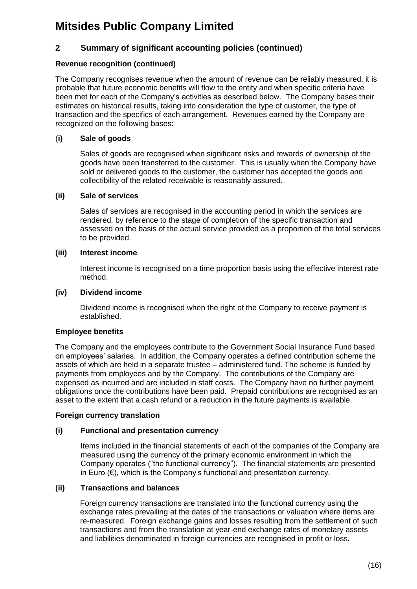# **2 Summary of significant accounting policies (continued)**

### **Revenue recognition (continued)**

The Company recognises revenue when the amount of revenue can be reliably measured, it is probable that future economic benefits will flow to the entity and when specific criteria have been met for each of the Company's activities as described below. The Company bases their estimates on historical results, taking into consideration the type of customer, the type of transaction and the specifics of each arrangement. Revenues earned by the Company are recognized on the following bases:

#### (**i) Sale of goods**

Sales of goods are recognised when significant risks and rewards of ownership of the goods have been transferred to the customer. This is usually when the Company have sold or delivered goods to the customer, the customer has accepted the goods and collectibility of the related receivable is reasonably assured.

#### **(ii) Sale of services**

Sales of services are recognised in the accounting period in which the services are rendered, by reference to the stage of completion of the specific transaction and assessed on the basis of the actual service provided as a proportion of the total services to be provided.

#### **(iii) Interest income**

Interest income is recognised on a time proportion basis using the effective interest rate method.

#### **(iv) Dividend income**

Dividend income is recognised when the right of the Company to receive payment is established.

#### **Employee benefits**

The Company and the employees contribute to the Government Social Insurance Fund based on employees' salaries. In addition, the Company operates a defined contribution scheme the assets of which are held in a separate trustee – administered fund. The scheme is funded by payments from employees and by the Company. The contributions of the Company are expensed as incurred and are included in staff costs. The Company have no further payment obligations once the contributions have been paid. Prepaid contributions are recognised as an asset to the extent that a cash refund or a reduction in the future payments is available.

#### **Foreign currency translation**

### **(i) Functional and presentation currency**

Items included in the financial statements of each of the companies of the Company are measured using the currency of the primary economic environment in which the Company operates ("the functional currency"). The financial statements are presented in Euro  $(\epsilon)$ , which is the Company's functional and presentation currency.

#### **(ii) Transactions and balances**

Foreign currency transactions are translated into the functional currency using the exchange rates prevailing at the dates of the transactions or valuation where items are re-measured. Foreign exchange gains and losses resulting from the settlement of such transactions and from the translation at year-end exchange rates of monetary assets and liabilities denominated in foreign currencies are recognised in profit or loss.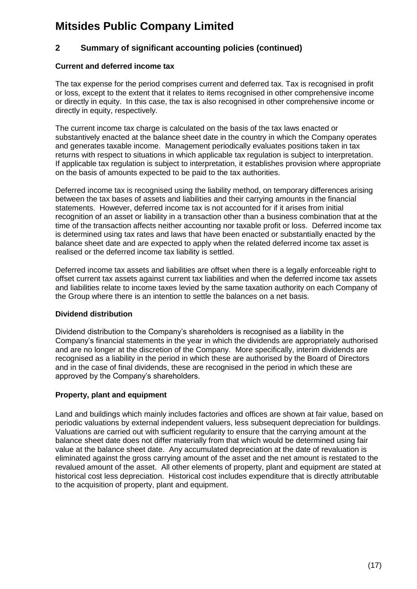# **2 Summary of significant accounting policies (continued)**

### **Current and deferred income tax**

The tax expense for the period comprises current and deferred tax. Tax is recognised in profit or loss, except to the extent that it relates to items recognised in other comprehensive income or directly in equity. In this case, the tax is also recognised in other comprehensive income or directly in equity, respectively.

The current income tax charge is calculated on the basis of the tax laws enacted or substantively enacted at the balance sheet date in the country in which the Company operates and generates taxable income. Management periodically evaluates positions taken in tax returns with respect to situations in which applicable tax regulation is subject to interpretation. If applicable tax regulation is subject to interpretation, it establishes provision where appropriate on the basis of amounts expected to be paid to the tax authorities.

Deferred income tax is recognised using the liability method, on temporary differences arising between the tax bases of assets and liabilities and their carrying amounts in the financial statements. However, deferred income tax is not accounted for if it arises from initial recognition of an asset or liability in a transaction other than a business combination that at the time of the transaction affects neither accounting nor taxable profit or loss. Deferred income tax is determined using tax rates and laws that have been enacted or substantially enacted by the balance sheet date and are expected to apply when the related deferred income tax asset is realised or the deferred income tax liability is settled.

Deferred income tax assets and liabilities are offset when there is a legally enforceable right to offset current tax assets against current tax liabilities and when the deferred income tax assets and liabilities relate to income taxes levied by the same taxation authority on each Company of the Group where there is an intention to settle the balances on a net basis.

#### **Dividend distribution**

Dividend distribution to the Company's shareholders is recognised as a liability in the Company's financial statements in the year in which the dividends are appropriately authorised and are no longer at the discretion of the Company. More specifically, interim dividends are recognised as a liability in the period in which these are authorised by the Board of Directors and in the case of final dividends, these are recognised in the period in which these are approved by the Company's shareholders.

### **Property, plant and equipment**

Land and buildings which mainly includes factories and offices are shown at fair value, based on periodic valuations by external independent valuers, less subsequent depreciation for buildings. Valuations are carried out with sufficient regularity to ensure that the carrying amount at the balance sheet date does not differ materially from that which would be determined using fair value at the balance sheet date. Any accumulated depreciation at the date of revaluation is eliminated against the gross carrying amount of the asset and the net amount is restated to the revalued amount of the asset. All other elements of property, plant and equipment are stated at historical cost less depreciation. Historical cost includes expenditure that is directly attributable to the acquisition of property, plant and equipment.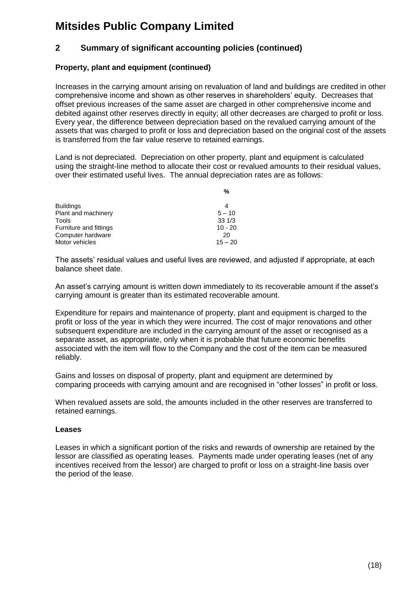# **2 Summary of significant accounting policies (continued)**

### **Property, plant and equipment (continued)**

Increases in the carrying amount arising on revaluation of land and buildings are credited in other comprehensive income and shown as other reserves in shareholders' equity. Decreases that offset previous increases of the same asset are charged in other comprehensive income and debited against other reserves directly in equity; all other decreases are charged to profit or loss. Every year, the difference between depreciation based on the revalued carrying amount of the assets that was charged to profit or loss and depreciation based on the original cost of the assets is transferred from the fair value reserve to retained earnings.

Land is not depreciated. Depreciation on other property, plant and equipment is calculated using the straight-line method to allocate their cost or revalued amounts to their residual values, over their estimated useful lives. The annual depreciation rates are as follows:

**%**

|                        | ,,,,             |
|------------------------|------------------|
| <b>Buildings</b>       | Δ                |
| Plant and machinery    | $5 - 10$         |
| Tools                  | $33 \frac{1}{3}$ |
| Furniture and fittings | $10 - 20$        |
| Computer hardware      | 20               |
| Motor vehicles         | $15 - 20$        |

The assets' residual values and useful lives are reviewed, and adjusted if appropriate, at each balance sheet date.

An asset's carrying amount is written down immediately to its recoverable amount if the asset's carrying amount is greater than its estimated recoverable amount.

Expenditure for repairs and maintenance of property, plant and equipment is charged to the profit or loss of the year in which they were incurred. The cost of major renovations and other subsequent expenditure are included in the carrying amount of the asset or recognised as a separate asset, as appropriate, only when it is probable that future economic benefits associated with the item will flow to the Company and the cost of the item can be measured reliably.

Gains and losses on disposal of property, plant and equipment are determined by comparing proceeds with carrying amount and are recognised in "other losses" in profit or loss.

When revalued assets are sold, the amounts included in the other reserves are transferred to retained earnings.

#### **Leases**

Leases in which a significant portion of the risks and rewards of ownership are retained by the lessor are classified as operating leases. Payments made under operating leases (net of any incentives received from the lessor) are charged to profit or loss on a straight-line basis over the period of the lease.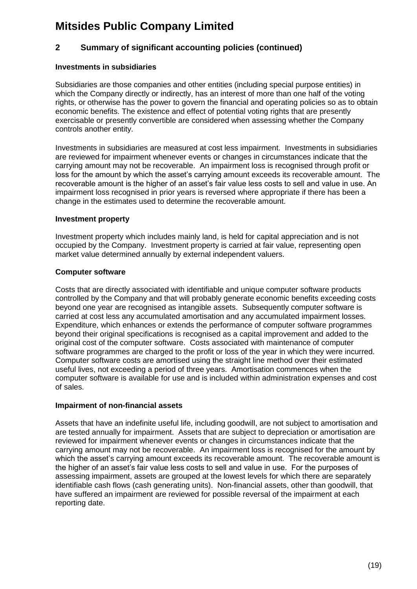# **2 Summary of significant accounting policies (continued)**

### **Investments in subsidiaries**

Subsidiaries are those companies and other entities (including special purpose entities) in which the Company directly or indirectly, has an interest of more than one half of the voting rights, or otherwise has the power to govern the financial and operating policies so as to obtain economic benefits. The existence and effect of potential voting rights that are presently exercisable or presently convertible are considered when assessing whether the Company controls another entity.

Investments in subsidiaries are measured at cost less impairment. Investments in subsidiaries are reviewed for impairment whenever events or changes in circumstances indicate that the carrying amount may not be recoverable. An impairment loss is recognised through profit or loss for the amount by which the asset's carrying amount exceeds its recoverable amount. The recoverable amount is the higher of an asset's fair value less costs to sell and value in use. An impairment loss recognised in prior years is reversed where appropriate if there has been a change in the estimates used to determine the recoverable amount.

#### **Investment property**

Investment property which includes mainly land, is held for capital appreciation and is not occupied by the Company. Investment property is carried at fair value, representing open market value determined annually by external independent valuers.

#### **Computer software**

Costs that are directly associated with identifiable and unique computer software products controlled by the Company and that will probably generate economic benefits exceeding costs beyond one year are recognised as intangible assets. Subsequently computer software is carried at cost less any accumulated amortisation and any accumulated impairment losses. Expenditure, which enhances or extends the performance of computer software programmes beyond their original specifications is recognised as a capital improvement and added to the original cost of the computer software. Costs associated with maintenance of computer software programmes are charged to the profit or loss of the year in which they were incurred. Computer software costs are amortised using the straight line method over their estimated useful lives, not exceeding a period of three years. Amortisation commences when the computer software is available for use and is included within administration expenses and cost of sales.

#### **Impairment of non-financial assets**

Assets that have an indefinite useful life, including goodwill, are not subject to amortisation and are tested annually for impairment. Assets that are subject to depreciation or amortisation are reviewed for impairment whenever events or changes in circumstances indicate that the carrying amount may not be recoverable. An impairment loss is recognised for the amount by which the asset's carrying amount exceeds its recoverable amount. The recoverable amount is the higher of an asset's fair value less costs to sell and value in use. For the purposes of assessing impairment, assets are grouped at the lowest levels for which there are separately identifiable cash flows (cash generating units). Non-financial assets, other than goodwill, that have suffered an impairment are reviewed for possible reversal of the impairment at each reporting date.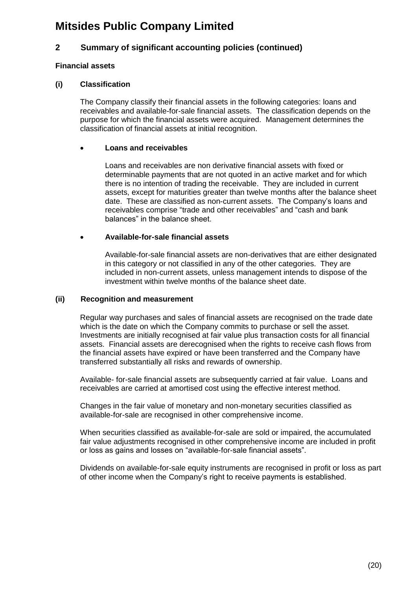# **2 Summary of significant accounting policies (continued)**

### **Financial assets**

### **(i) Classification**

The Company classify their financial assets in the following categories: loans and receivables and available-for-sale financial assets. The classification depends on the purpose for which the financial assets were acquired. Management determines the classification of financial assets at initial recognition.

### **Loans and receivables**

Loans and receivables are non derivative financial assets with fixed or determinable payments that are not quoted in an active market and for which there is no intention of trading the receivable. They are included in current assets, except for maturities greater than twelve months after the balance sheet date. These are classified as non-current assets. The Company's loans and receivables comprise "trade and other receivables" and "cash and bank balances" in the balance sheet.

### **Available-for-sale financial assets**

Available-for-sale financial assets are non-derivatives that are either designated in this category or not classified in any of the other categories. They are included in non-current assets, unless management intends to dispose of the investment within twelve months of the balance sheet date.

#### **(ii) Recognition and measurement**

Regular way purchases and sales of financial assets are recognised on the trade date which is the date on which the Company commits to purchase or sell the asset. Investments are initially recognised at fair value plus transaction costs for all financial assets. Financial assets are derecognised when the rights to receive cash flows from the financial assets have expired or have been transferred and the Company have transferred substantially all risks and rewards of ownership.

Available- for-sale financial assets are subsequently carried at fair value. Loans and receivables are carried at amortised cost using the effective interest method.

Changes in the fair value of monetary and non-monetary securities classified as available-for-sale are recognised in other comprehensive income.

When securities classified as available-for-sale are sold or impaired, the accumulated fair value adjustments recognised in other comprehensive income are included in profit or loss as gains and losses on "available-for-sale financial assets".

Dividends on available-for-sale equity instruments are recognised in profit or loss as part of other income when the Company's right to receive payments is established.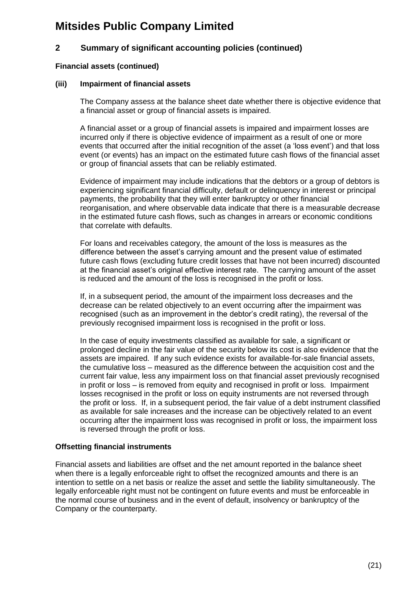# **2 Summary of significant accounting policies (continued)**

#### **Financial assets (continued)**

#### **(iii) Impairment of financial assets**

The Company assess at the balance sheet date whether there is objective evidence that a financial asset or group of financial assets is impaired.

A financial asset or a group of financial assets is impaired and impairment losses are incurred only if there is objective evidence of impairment as a result of one or more events that occurred after the initial recognition of the asset (a 'loss event') and that loss event (or events) has an impact on the estimated future cash flows of the financial asset or group of financial assets that can be reliably estimated.

Evidence of impairment may include indications that the debtors or a group of debtors is experiencing significant financial difficulty, default or delinquency in interest or principal payments, the probability that they will enter bankruptcy or other financial reorganisation, and where observable data indicate that there is a measurable decrease in the estimated future cash flows, such as changes in arrears or economic conditions that correlate with defaults.

For loans and receivables category, the amount of the loss is measures as the difference between the asset's carrying amount and the present value of estimated future cash flows (excluding future credit losses that have not been incurred) discounted at the financial asset's original effective interest rate. The carrying amount of the asset is reduced and the amount of the loss is recognised in the profit or loss.

If, in a subsequent period, the amount of the impairment loss decreases and the decrease can be related objectively to an event occurring after the impairment was recognised (such as an improvement in the debtor's credit rating), the reversal of the previously recognised impairment loss is recognised in the profit or loss.

In the case of equity investments classified as available for sale, a significant or prolonged decline in the fair value of the security below its cost is also evidence that the assets are impaired. If any such evidence exists for available-for-sale financial assets, the cumulative loss – measured as the difference between the acquisition cost and the current fair value, less any impairment loss on that financial asset previously recognised in profit or loss – is removed from equity and recognised in profit or loss. Impairment losses recognised in the profit or loss on equity instruments are not reversed through the profit or loss. If, in a subsequent period, the fair value of a debt instrument classified as available for sale increases and the increase can be objectively related to an event occurring after the impairment loss was recognised in profit or loss, the impairment loss is reversed through the profit or loss.

#### **Offsetting financial instruments**

Financial assets and liabilities are offset and the net amount reported in the balance sheet when there is a legally enforceable right to offset the recognized amounts and there is an intention to settle on a net basis or realize the asset and settle the liability simultaneously. The legally enforceable right must not be contingent on future events and must be enforceable in the normal course of business and in the event of default, insolvency or bankruptcy of the Company or the counterparty.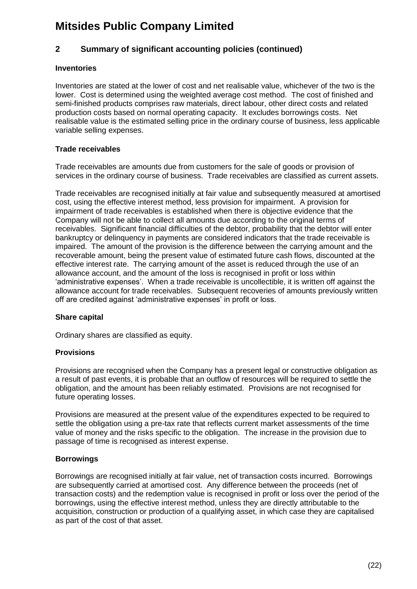# **2 Summary of significant accounting policies (continued)**

#### **Inventories**

Inventories are stated at the lower of cost and net realisable value, whichever of the two is the lower. Cost is determined using the weighted average cost method. The cost of finished and semi-finished products comprises raw materials, direct labour, other direct costs and related production costs based on normal operating capacity. It excludes borrowings costs. Net realisable value is the estimated selling price in the ordinary course of business, less applicable variable selling expenses.

### **Trade receivables**

Trade receivables are amounts due from customers for the sale of goods or provision of services in the ordinary course of business. Trade receivables are classified as current assets.

Trade receivables are recognised initially at fair value and subsequently measured at amortised cost, using the effective interest method, less provision for impairment. A provision for impairment of trade receivables is established when there is objective evidence that the Company will not be able to collect all amounts due according to the original terms of receivables. Significant financial difficulties of the debtor, probability that the debtor will enter bankruptcy or delinquency in payments are considered indicators that the trade receivable is impaired. The amount of the provision is the difference between the carrying amount and the recoverable amount, being the present value of estimated future cash flows, discounted at the effective interest rate. The carrying amount of the asset is reduced through the use of an allowance account, and the amount of the loss is recognised in profit or loss within 'administrative expenses'. When a trade receivable is uncollectible, it is written off against the allowance account for trade receivables. Subsequent recoveries of amounts previously written off are credited against 'administrative expenses' in profit or loss.

#### **Share capital**

Ordinary shares are classified as equity.

#### **Provisions**

Provisions are recognised when the Company has a present legal or constructive obligation as a result of past events, it is probable that an outflow of resources will be required to settle the obligation, and the amount has been reliably estimated. Provisions are not recognised for future operating losses.

Provisions are measured at the present value of the expenditures expected to be required to settle the obligation using a pre-tax rate that reflects current market assessments of the time value of money and the risks specific to the obligation. The increase in the provision due to passage of time is recognised as interest expense.

#### **Borrowings**

Borrowings are recognised initially at fair value, net of transaction costs incurred. Borrowings are subsequently carried at amortised cost. Any difference between the proceeds (net of transaction costs) and the redemption value is recognised in profit or loss over the period of the borrowings, using the effective interest method, unless they are directly attributable to the acquisition, construction or production of a qualifying asset, in which case they are capitalised as part of the cost of that asset.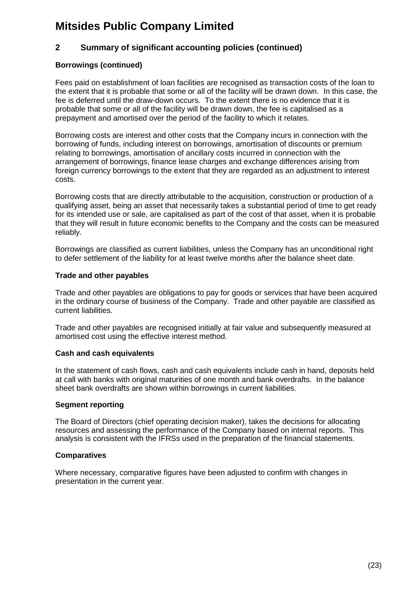# **2 Summary of significant accounting policies (continued)**

### **Borrowings (continued)**

Fees paid on establishment of loan facilities are recognised as transaction costs of the loan to the extent that it is probable that some or all of the facility will be drawn down. In this case, the fee is deferred until the draw-down occurs. To the extent there is no evidence that it is probable that some or all of the facility will be drawn down, the fee is capitalised as a prepayment and amortised over the period of the facility to which it relates.

Borrowing costs are interest and other costs that the Company incurs in connection with the borrowing of funds, including interest on borrowings, amortisation of discounts or premium relating to borrowings, amortisation of ancillary costs incurred in connection with the arrangement of borrowings, finance lease charges and exchange differences arising from foreign currency borrowings to the extent that they are regarded as an adjustment to interest costs.

Borrowing costs that are directly attributable to the acquisition, construction or production of a qualifying asset, being an asset that necessarily takes a substantial period of time to get ready for its intended use or sale, are capitalised as part of the cost of that asset, when it is probable that they will result in future economic benefits to the Company and the costs can be measured reliably.

Borrowings are classified as current liabilities, unless the Company has an unconditional right to defer settlement of the liability for at least twelve months after the balance sheet date.

#### **Trade and other payables**

Trade and other payables are obligations to pay for goods or services that have been acquired in the ordinary course of business of the Company. Trade and other payable are classified as current liabilities.

Trade and other payables are recognised initially at fair value and subsequently measured at amortised cost using the effective interest method.

#### **Cash and cash equivalents**

In the statement of cash flows, cash and cash equivalents include cash in hand, deposits held at call with banks with original maturities of one month and bank overdrafts. In the balance sheet bank overdrafts are shown within borrowings in current liabilities.

#### **Segment reporting**

The Board of Directors (chief operating decision maker), takes the decisions for allocating resources and assessing the performance of the Company based on internal reports. This analysis is consistent with the IFRSs used in the preparation of the financial statements.

#### **Comparatives**

Where necessary, comparative figures have been adjusted to confirm with changes in presentation in the current year.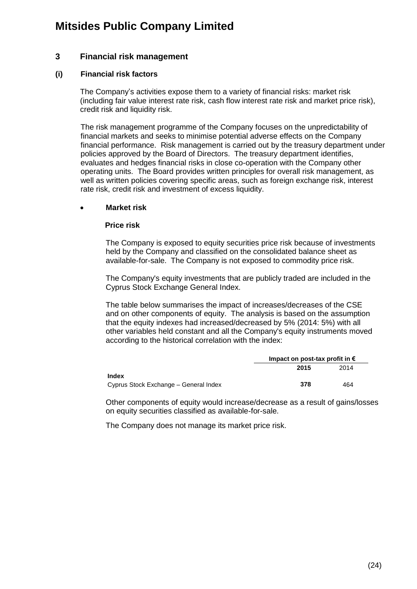### **3 Financial risk management**

### **(i) Financial risk factors**

The Company's activities expose them to a variety of financial risks: market risk (including fair value interest rate risk, cash flow interest rate risk and market price risk), credit risk and liquidity risk.

The risk management programme of the Company focuses on the unpredictability of financial markets and seeks to minimise potential adverse effects on the Company financial performance. Risk management is carried out by the treasury department under policies approved by the Board of Directors. The treasury department identifies, evaluates and hedges financial risks in close co-operation with the Company other operating units. The Board provides written principles for overall risk management, as well as written policies covering specific areas, such as foreign exchange risk, interest rate risk, credit risk and investment of excess liquidity.

#### **Market risk**

#### **Price risk**

The Company is exposed to equity securities price risk because of investments held by the Company and classified on the consolidated balance sheet as available-for-sale. The Company is not exposed to commodity price risk.

The Company's equity investments that are publicly traded are included in the Cyprus Stock Exchange General Index.

The table below summarises the impact of increases/decreases of the CSE and on other components of equity. The analysis is based on the assumption that the equity indexes had increased/decreased by 5% (2014: 5%) with all other variables held constant and all the Company's equity instruments moved according to the historical correlation with the index:

|                                       |      | Impact on post-tax profit in $\epsilon$ |  |  |
|---------------------------------------|------|-----------------------------------------|--|--|
|                                       | 2015 | 2014                                    |  |  |
| <b>Index</b>                          |      |                                         |  |  |
| Cyprus Stock Exchange – General Index | 378  | 464                                     |  |  |

Other components of equity would increase/decrease as a result of gains/losses on equity securities classified as available-for-sale.

The Company does not manage its market price risk.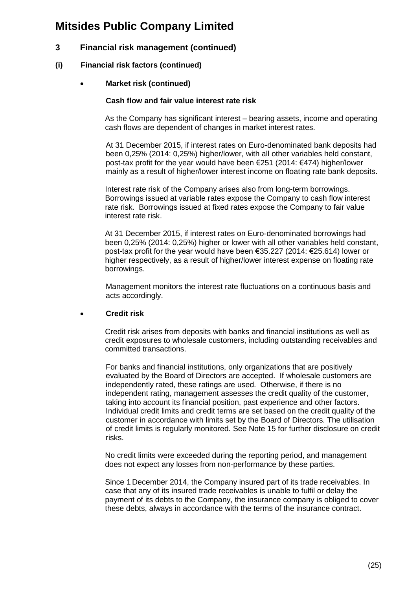**3 Financial risk management (continued)**

### **(i) Financial risk factors (continued)**

**Market risk (continued)**

### **Cash flow and fair value interest rate risk**

As the Company has significant interest – bearing assets, income and operating cash flows are dependent of changes in market interest rates.

At 31 December 2015, if interest rates on Euro-denominated bank deposits had been 0,25% (2014: 0,25%) higher/lower, with all other variables held constant, post-tax profit for the year would have been €251 (2014: €474) higher/lower mainly as a result of higher/lower interest income on floating rate bank deposits.

Interest rate risk of the Company arises also from long-term borrowings. Borrowings issued at variable rates expose the Company to cash flow interest rate risk. Borrowings issued at fixed rates expose the Company to fair value interest rate risk.

At 31 December 2015, if interest rates on Euro-denominated borrowings had been 0,25% (2014: 0,25%) higher or lower with all other variables held constant, post-tax profit for the year would have been €35.227 (2014: €25.614) lower or higher respectively, as a result of higher/lower interest expense on floating rate borrowings.

Management monitors the interest rate fluctuations on a continuous basis and acts accordingly.

#### **Credit risk**

Credit risk arises from deposits with banks and financial institutions as well as credit exposures to wholesale customers, including outstanding receivables and committed transactions.

For banks and financial institutions, only organizations that are positively evaluated by the Board of Directors are accepted. If wholesale customers are independently rated, these ratings are used. Otherwise, if there is no independent rating, management assesses the credit quality of the customer, taking into account its financial position, past experience and other factors. Individual credit limits and credit terms are set based on the credit quality of the customer in accordance with limits set by the Board of Directors. The utilisation of credit limits is regularly monitored. See Note 15 for further disclosure on credit risks.

No credit limits were exceeded during the reporting period, and management does not expect any losses from non-performance by these parties.

Since 1 December 2014, the Company insured part of its trade receivables. In case that any of its insured trade receivables is unable to fulfil or delay the payment of its debts to the Company, the insurance company is obliged to cover these debts, always in accordance with the terms of the insurance contract.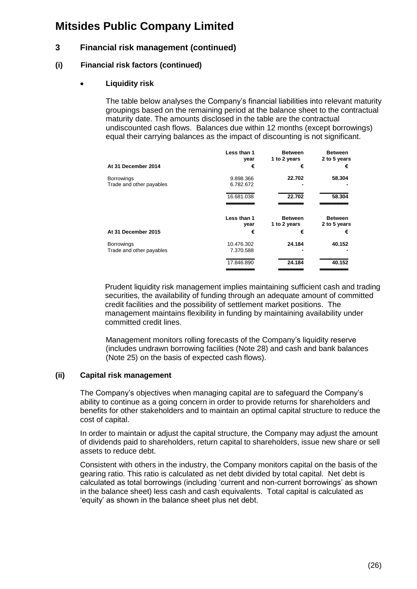# **3 Financial risk management (continued)**

### **(i) Financial risk factors (continued)**

**Liquidity risk**

The table below analyses the Company's financial liabilities into relevant maturity groupings based on the remaining period at the balance sheet to the contractual maturity date. The amounts disclosed in the table are the contractual undiscounted cash flows. Balances due within 12 months (except borrowings) equal their carrying balances as the impact of discounting is not significant.

|                          | Less than 1<br>year | <b>Between</b><br>1 to 2 years | <b>Between</b><br>2 to 5 years |
|--------------------------|---------------------|--------------------------------|--------------------------------|
| At 31 December 2014      | €                   | €                              | €                              |
| <b>Borrowings</b>        | 9.898.366           | 22.702                         | 58.304                         |
| Trade and other payables | 6.782.672           |                                |                                |
|                          | 16.681.038          | 22.702                         | 58.304                         |
|                          |                     |                                |                                |
|                          | Less than 1<br>year | <b>Between</b><br>1 to 2 years | <b>Between</b><br>2 to 5 years |
| At 31 December 2015      | €                   | €                              | €                              |
| <b>Borrowings</b>        | 10.476.302          | 24.184                         | 40.152                         |
| Trade and other payables | 7.370.588           |                                |                                |
|                          | 17.846.890          | 24.184                         | 40.152                         |
|                          |                     |                                |                                |

Prudent liquidity risk management implies maintaining sufficient cash and trading securities, the availability of funding through an adequate amount of committed credit facilities and the possibility of settlement market positions. The management maintains flexibility in funding by maintaining availability under committed credit lines.

Management monitors rolling forecasts of the Company's liquidity reserve (includes undrawn borrowing facilities (Note 28) and cash and bank balances (Note 25) on the basis of expected cash flows).

#### **(ii) Capital risk management**

The Company's objectives when managing capital are to safeguard the Company's ability to continue as a going concern in order to provide returns for shareholders and benefits for other stakeholders and to maintain an optimal capital structure to reduce the cost of capital.

In order to maintain or adjust the capital structure, the Company may adjust the amount of dividends paid to shareholders, return capital to shareholders, issue new share or sell assets to reduce debt.

Consistent with others in the industry, the Company monitors capital on the basis of the gearing ratio. This ratio is calculated as net debt divided by total capital. Net debt is calculated as total borrowings (including 'current and non-current borrowings' as shown in the balance sheet) less cash and cash equivalents. Total capital is calculated as 'equity' as shown in the balance sheet plus net debt.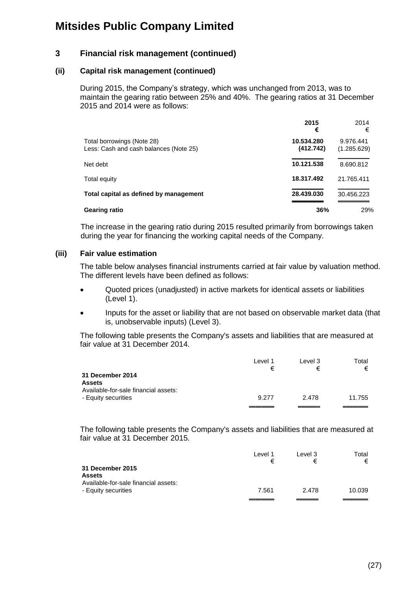### **3 Financial risk management (continued)**

### **(ii) Capital risk management (continued)**

During 2015, the Company's strategy, which was unchanged from 2013, was to maintain the gearing ratio between 25% and 40%. The gearing ratios at 31 December 2015 and 2014 were as follows:

|                                                                      | 2015<br>€               | 2014<br>€                |
|----------------------------------------------------------------------|-------------------------|--------------------------|
| Total borrowings (Note 28)<br>Less: Cash and cash balances (Note 25) | 10.534.280<br>(412.742) | 9.976.441<br>(1.285.629) |
| Net debt                                                             | 10.121.538              | 8.690.812                |
| Total equity                                                         | 18.317.492              | 21.765.411               |
| Total capital as defined by management                               | 28.439.030              | 30.456.223               |
| <b>Gearing ratio</b>                                                 | 36%                     | 29%                      |

The increase in the gearing ratio during 2015 resulted primarily from borrowings taken during the year for financing the working capital needs of the Company.

#### **(iii) Fair value estimation**

The table below analyses financial instruments carried at fair value by valuation method. The different levels have been defined as follows:

- Quoted prices (unadjusted) in active markets for identical assets or liabilities (Level 1).
- Inputs for the asset or liability that are not based on observable market data (that is, unobservable inputs) (Level 3).

The following table presents the Company's assets and liabilities that are measured at fair value at 31 December 2014.

|                                      | Level 1<br>€ | Level 3<br>€ | Total<br>€ |
|--------------------------------------|--------------|--------------|------------|
| 31 December 2014<br><b>Assets</b>    |              |              |            |
| Available-for-sale financial assets: |              |              |            |
| - Equity securities                  | 9.277        | 2.478        | 11.755     |
|                                      |              |              |            |

The following table presents the Company's assets and liabilities that are measured at fair value at 31 December 2015.

|                                      | Level 1 | Level 3 | Total  |
|--------------------------------------|---------|---------|--------|
|                                      | €       | €       | €      |
| 31 December 2015                     |         |         |        |
| <b>Assets</b>                        |         |         |        |
| Available-for-sale financial assets: |         |         |        |
| - Equity securities                  | 7.561   | 2.478   | 10.039 |
|                                      |         |         |        |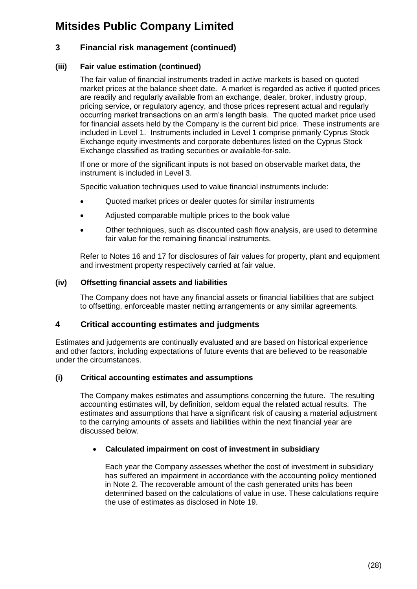# **3 Financial risk management (continued)**

### **(iii) Fair value estimation (continued)**

The fair value of financial instruments traded in active markets is based on quoted market prices at the balance sheet date. A market is regarded as active if quoted prices are readily and regularly available from an exchange, dealer, broker, industry group, pricing service, or regulatory agency, and those prices represent actual and regularly occurring market transactions on an arm's length basis. The quoted market price used for financial assets held by the Company is the current bid price. These instruments are included in Level 1. Instruments included in Level 1 comprise primarily Cyprus Stock Exchange equity investments and corporate debentures listed on the Cyprus Stock Exchange classified as trading securities or available-for-sale.

If one or more of the significant inputs is not based on observable market data, the instrument is included in Level 3.

Specific valuation techniques used to value financial instruments include:

- Quoted market prices or dealer quotes for similar instruments
- Adjusted comparable multiple prices to the book value
- Other techniques, such as discounted cash flow analysis, are used to determine fair value for the remaining financial instruments.

Refer to Notes 16 and 17 for disclosures of fair values for property, plant and equipment and investment property respectively carried at fair value.

### **(iv) Offsetting financial assets and liabilities**

The Company does not have any financial assets or financial liabilities that are subject to offsetting, enforceable master netting arrangements or any similar agreements.

### **4 Critical accounting estimates and judgments**

Estimates and judgements are continually evaluated and are based on historical experience and other factors, including expectations of future events that are believed to be reasonable under the circumstances.

### **(i) Critical accounting estimates and assumptions**

The Company makes estimates and assumptions concerning the future. The resulting accounting estimates will, by definition, seldom equal the related actual results. The estimates and assumptions that have a significant risk of causing a material adjustment to the carrying amounts of assets and liabilities within the next financial year are discussed below.

### **Calculated impairment on cost of investment in subsidiary**

Each year the Company assesses whether the cost of investment in subsidiary has suffered an impairment in accordance with the accounting policy mentioned in Note 2. The recoverable amount of the cash generated units has been determined based on the calculations of value in use. These calculations require the use of estimates as disclosed in Note 19.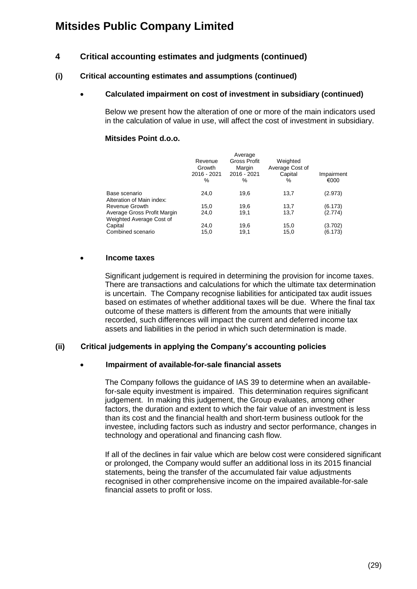## **4 Critical accounting estimates and judgments (continued)**

### **(i) Critical accounting estimates and assumptions (continued)**

#### **Calculated impairment on cost of investment in subsidiary (continued)**

Below we present how the alteration of one or more of the main indicators used in the calculation of value in use, will affect the cost of investment in subsidiary.

#### **Mitsides Point d.o.o.**

|                                                         | Revenue<br>Growth<br>2016 - 2021<br>% | Average<br>Gross Profit<br>Margin<br>2016 - 2021<br>% | Weighted<br>Average Cost of<br>Capital<br>% | Impairment<br>€000 |
|---------------------------------------------------------|---------------------------------------|-------------------------------------------------------|---------------------------------------------|--------------------|
| Base scenario                                           | 24,0                                  | 19,6                                                  | 13,7                                        | (2.973)            |
| Alteration of Main index:                               |                                       |                                                       |                                             |                    |
| Revenue Growth                                          | 15,0                                  | 19,6                                                  | 13,7                                        | (6.173)            |
| Average Gross Profit Margin<br>Weighted Average Cost of | 24,0                                  | 19,1                                                  | 13,7                                        | (2.774)            |
| Capital                                                 | 24,0                                  | 19,6                                                  | 15,0                                        | (3.702)            |
| Combined scenario                                       | 15,0                                  | 19,1                                                  | 15,0                                        | (6.173)            |
|                                                         |                                       |                                                       |                                             |                    |

#### **Income taxes**

Significant judgement is required in determining the provision for income taxes. There are transactions and calculations for which the ultimate tax determination is uncertain. The Company recognise liabilities for anticipated tax audit issues based on estimates of whether additional taxes will be due. Where the final tax outcome of these matters is different from the amounts that were initially recorded, such differences will impact the current and deferred income tax assets and liabilities in the period in which such determination is made.

#### **(ii) Critical judgements in applying the Company's accounting policies**

#### **Impairment of available-for-sale financial assets**

The Company follows the guidance of IAS 39 to determine when an availablefor-sale equity investment is impaired. This determination requires significant judgement. In making this judgement, the Group evaluates, among other factors, the duration and extent to which the fair value of an investment is less than its cost and the financial health and short-term business outlook for the investee, including factors such as industry and sector performance, changes in technology and operational and financing cash flow.

If all of the declines in fair value which are below cost were considered significant or prolonged, the Company would suffer an additional loss in its 2015 financial statements, being the transfer of the accumulated fair value adjustments recognised in other comprehensive income on the impaired available-for-sale financial assets to profit or loss.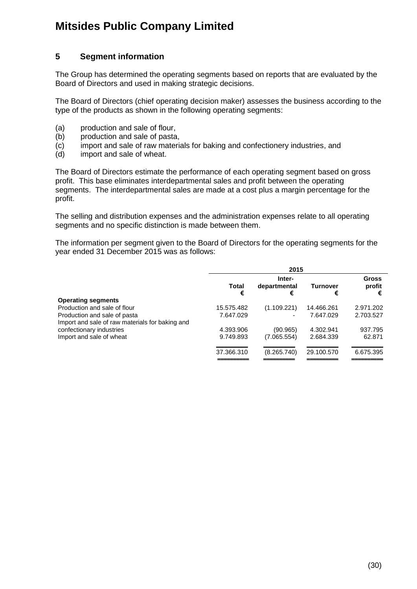## **5 Segment information**

The Group has determined the operating segments based on reports that are evaluated by the Board of Directors and used in making strategic decisions.

The Board of Directors (chief operating decision maker) assesses the business according to the type of the products as shown in the following operating segments:

- (a) production and sale of flour,
- (b) production and sale of pasta,
- (c) import and sale of raw materials for baking and confectionery industries, and
- (d) import and sale of wheat.

The Board of Directors estimate the performance of each operating segment based on gross profit. This base eliminates interdepartmental sales and profit between the operating segments. The interdepartmental sales are made at a cost plus a margin percentage for the profit.

The selling and distribution expenses and the administration expenses relate to all operating segments and no specific distinction is made between them.

The information per segment given to the Board of Directors for the operating segments for the year ended 31 December 2015 was as follows:

|                                                 | 2015              |                             |                      |                      |
|-------------------------------------------------|-------------------|-----------------------------|----------------------|----------------------|
|                                                 | <b>Total</b><br>€ | Inter-<br>departmental<br>€ | <b>Turnover</b><br>€ | Gross<br>profit<br>€ |
| <b>Operating segments</b>                       |                   |                             |                      |                      |
| Production and sale of flour                    | 15.575.482        | (1.109.221)                 | 14.466.261           | 2.971.202            |
| Production and sale of pasta                    | 7.647.029         |                             | 7.647.029            | 2.703.527            |
| Import and sale of raw materials for baking and |                   |                             |                      |                      |
| confectionary industries                        | 4.393.906         | (90.965)                    | 4.302.941            | 937.795              |
| Import and sale of wheat                        | 9.749.893         | (7.065.554)                 | 2.684.339            | 62.871               |
|                                                 |                   |                             |                      |                      |
|                                                 | 37.366.310        | (8.265.740)                 | 29.100.570           | 6.675.395            |
|                                                 |                   |                             |                      |                      |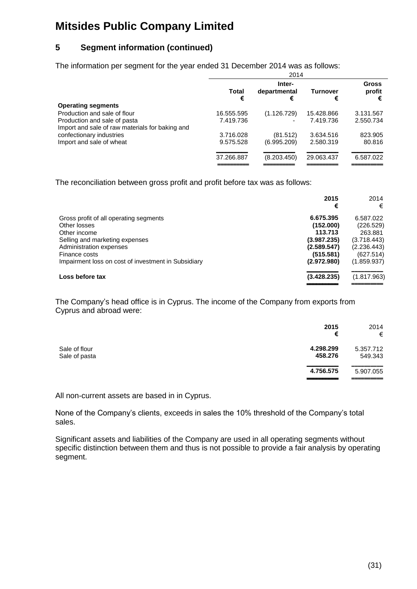# **5 Segment information (continued)**

The information per segment for the year ended 31 December 2014 was as follows:

|                                                 | 2014              |                   |                      |             |
|-------------------------------------------------|-------------------|-------------------|----------------------|-------------|
|                                                 | Inter-            |                   | <b>Gross</b>         |             |
|                                                 | <b>Total</b><br>€ | departmental<br>€ | <b>Turnover</b><br>€ | profit<br>€ |
| <b>Operating segments</b>                       |                   |                   |                      |             |
| Production and sale of flour                    | 16.555.595        | (1.126.729)       | 15.428.866           | 3.131.567   |
| Production and sale of pasta                    | 7.419.736         |                   | 7.419.736            | 2.550.734   |
| Import and sale of raw materials for baking and |                   |                   |                      |             |
| confectionary industries                        | 3.716.028         | (81.512)          | 3.634.516            | 823.905     |
| Import and sale of wheat                        | 9.575.528         | (6.995.209)       | 2.580.319            | 80.816      |
|                                                 | 37.266.887        | (8.203.450)       | 29.063.437           | 6.587.022   |
|                                                 |                   |                   |                      |             |

The reconciliation between gross profit and profit before tax was as follows:

|                                                     | 2015        | 2014        |
|-----------------------------------------------------|-------------|-------------|
|                                                     | €           | €           |
| Gross profit of all operating segments              | 6.675.395   | 6.587.022   |
| Other losses                                        | (152.000)   | (226.529)   |
| Other income                                        | 113.713     | 263.881     |
| Selling and marketing expenses                      | (3.987.235) | (3.718.443) |
| Administration expenses                             | (2.589.547) | (2.236.443) |
| Finance costs                                       | (515.581)   | (627.514)   |
| Impairment loss on cost of investment in Subsidiary | (2.972.980) | (1.859.937) |
| Loss before tax                                     | (3.428.235) | (1.817.963) |
|                                                     |             |             |

The Company's head office is in Cyprus. The income of the Company from exports from Cyprus and abroad were:

|                                | 2015<br>€              | 2014<br>€            |
|--------------------------------|------------------------|----------------------|
| Sale of flour<br>Sale of pasta | 4.298.299<br>458.276   | 5.357.712<br>549.343 |
|                                | 4.756.575<br>_________ | 5.907.055            |

All non-current assets are based in in Cyprus.

None of the Company's clients, exceeds in sales the 10% threshold of the Company's total sales.

Significant assets and liabilities of the Company are used in all operating segments without specific distinction between them and thus is not possible to provide a fair analysis by operating segment.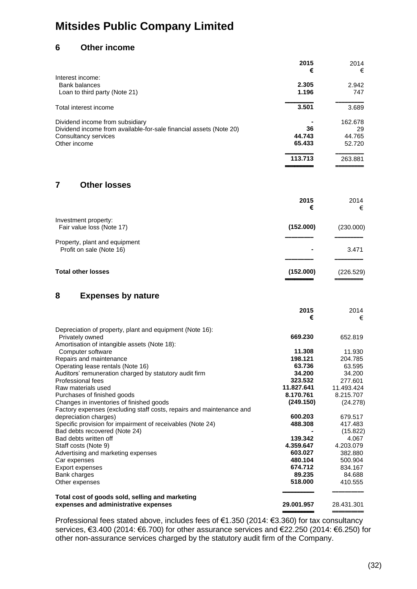# **6 Other income**

|                                                                                     | 2015<br>€          | 2014<br>€         |
|-------------------------------------------------------------------------------------|--------------------|-------------------|
| Interest income:                                                                    |                    |                   |
| Bank balances<br>Loan to third party (Note 21)                                      | 2.305<br>1.196     | 2.942<br>747      |
| Total interest income                                                               | 3.501              | 3.689             |
| Dividend income from subsidiary                                                     |                    | 162.678           |
| Dividend income from available-for-sale financial assets (Note 20)                  | 36                 | 29                |
| Consultancy services                                                                | 44.743             | 44.765            |
| Other income                                                                        | 65.433             | 52.720            |
|                                                                                     | 113.713            | 263.881           |
| <b>Other losses</b><br>7                                                            |                    |                   |
|                                                                                     |                    |                   |
|                                                                                     | 2015<br>€          | 2014<br>€         |
| Investment property:                                                                | (152.000)          |                   |
| Fair value loss (Note 17)                                                           |                    | (230.000)         |
| Property, plant and equipment<br>Profit on sale (Note 16)                           |                    | 3.471             |
| <b>Total other losses</b>                                                           | (152.000)          | (226.529)         |
| 8<br><b>Expenses by nature</b>                                                      |                    |                   |
|                                                                                     |                    |                   |
|                                                                                     | 2015<br>€          | 2014<br>€         |
| Depreciation of property, plant and equipment (Note 16):                            |                    |                   |
| Privately owned                                                                     | 669.230            | 652.819           |
| Amortisation of intangible assets (Note 18):                                        |                    |                   |
| Computer software                                                                   | 11.308             | 11.930            |
| Repairs and maintenance                                                             | 198.121            | 204.785           |
| Operating lease rentals (Note 16)                                                   | 63.736             | 63.595            |
| Auditors' remuneration charged by statutory audit firm                              | 34.200             | 34.200            |
| Professional fees                                                                   | 323.532            | 277.601           |
| Raw materials used                                                                  | 11.827.641         | 11.493.424        |
| Purchases of finished goods                                                         | 8.170.761          | 8.215.707         |
| Changes in inventories of finished goods                                            | (249.150)          | (24.278)          |
| Factory expenses (excluding staff costs, repairs and maintenance and                |                    |                   |
| depreciation charges)<br>Specific provision for impairment of receivables (Note 24) | 600.203<br>488.308 | 679.517           |
| Bad debts recovered (Note 24)                                                       |                    | 417.483           |
| Bad debts written off                                                               | 139.342            | (15.822)<br>4.067 |
| Staff costs (Note 9)                                                                | 4.359.647          | 4.203.079         |
| Advertising and marketing expenses                                                  | 603.027            | 382.880           |
| Car expenses                                                                        | 480.104            | 500.904           |
| Export expenses                                                                     | 674.712            | 834.167           |
| Bank charges                                                                        | 89.235             | 84.688            |
| Other expenses                                                                      | 518.000            | 410.555           |
|                                                                                     |                    |                   |

**Total cost of goods sold, selling and marketing expenses and administrative expenses 29.001.957** 28.431.301 ========== ==========

Professional fees stated above, includes fees of €1.350 (2014: €3.360) for tax consultancy services, €3.400 (2014: €6.700) for other assurance services and €22.250 (2014: €6.250) for other non-assurance services charged by the statutory audit firm of the Company.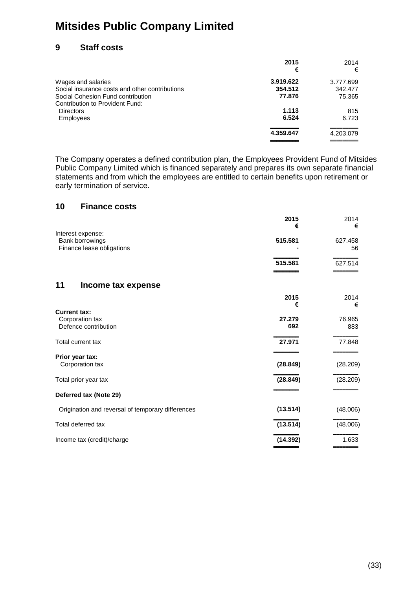# **9 Staff costs**

|                                                | 2015<br>€ | 2014<br>€ |
|------------------------------------------------|-----------|-----------|
| Wages and salaries                             | 3.919.622 | 3.777.699 |
| Social insurance costs and other contributions | 354.512   | 342.477   |
| Social Cohesion Fund contribution              | 77.876    | 75.365    |
| Contribution to Provident Fund:                |           |           |
| <b>Directors</b>                               | 1.113     | 815       |
| Employees                                      | 6.524     | 6.723     |
|                                                | 4.359.647 | 4.203.079 |
|                                                |           |           |

The Company operates a defined contribution plan, the Employees Provident Fund of Mitsides Public Company Limited which is financed separately and prepares its own separate financial statements and from which the employees are entitled to certain benefits upon retirement or early termination of service.

### **10 Finance costs**

|                                                                   | 2015<br>€     | 2014<br>€     |
|-------------------------------------------------------------------|---------------|---------------|
| Interest expense:<br>Bank borrowings<br>Finance lease obligations | 515.581       | 627.458<br>56 |
|                                                                   | 515.581       | 627.514       |
| 11<br>Income tax expense                                          |               |               |
|                                                                   | 2015<br>€     | 2014<br>€     |
| <b>Current tax:</b><br>Corporation tax<br>Defence contribution    | 27.279<br>692 | 76.965<br>883 |
| Total current tax                                                 | 27.971        | 77.848        |
| Prior year tax:<br>Corporation tax                                | (28.849)      | (28.209)      |
| Total prior year tax                                              | (28.849)      | (28.209)      |
| Deferred tax (Note 29)                                            |               |               |
| Origination and reversal of temporary differences                 | (13.514)      | (48.006)      |
| Total deferred tax                                                | (13.514)      | (48.006)      |
| Income tax (credit)/charge                                        | (14.392)      | 1.633         |
|                                                                   |               |               |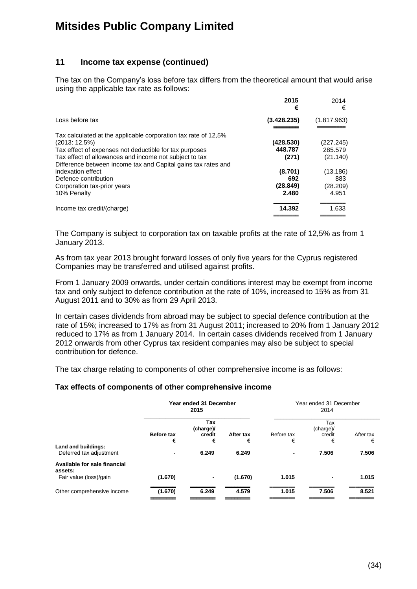### **11 Income tax expense (continued)**

The tax on the Company's loss before tax differs from the theoretical amount that would arise using the applicable tax rate as follows:

|                                                                                                                                                                                                                                                                     | 2015<br>€                           | 2014<br>€                            |
|---------------------------------------------------------------------------------------------------------------------------------------------------------------------------------------------------------------------------------------------------------------------|-------------------------------------|--------------------------------------|
| Loss before tax                                                                                                                                                                                                                                                     | (3.428.235)                         | (1.817.963)                          |
| Tax calculated at the applicable corporation tax rate of 12,5%<br>(2013:12.5%)<br>Tax effect of expenses not deductible for tax purposes<br>Tax effect of allowances and income not subject to tax<br>Difference between income tax and Capital gains tax rates and | (428.530)<br>448.787<br>(271)       | (227.245)<br>285.579<br>(21.140)     |
| indexation effect<br>Defence contribution<br>Corporation tax-prior years<br>10% Penalty                                                                                                                                                                             | (8.701)<br>692<br>(28.849)<br>2.480 | (13.186)<br>883<br>(28.209)<br>4.951 |
| Income tax credit/(charge)                                                                                                                                                                                                                                          | 14.392                              | 1.633                                |

The Company is subject to corporation tax on taxable profits at the rate of 12,5% as from 1 January 2013.

As from tax year 2013 brought forward losses of only five years for the Cyprus registered Companies may be transferred and utilised against profits.

From 1 January 2009 onwards, under certain conditions interest may be exempt from income tax and only subject to defence contribution at the rate of 10%, increased to 15% as from 31 August 2011 and to 30% as from 29 April 2013.

In certain cases dividends from abroad may be subject to special defence contribution at the rate of 15%; increased to 17% as from 31 August 2011; increased to 20% from 1 January 2012 reduced to 17% as from 1 January 2014. In certain cases dividends received from 1 January 2012 onwards from other Cyprus tax resident companies may also be subject to special contribution for defence.

The tax charge relating to components of other comprehensive income is as follows:

#### **Tax effects of components of other comprehensive income**

|                                                                   | Year ended 31 December<br>2015 |                                 | Year ended 31 December<br>2014 |                 |                                 |                |
|-------------------------------------------------------------------|--------------------------------|---------------------------------|--------------------------------|-----------------|---------------------------------|----------------|
|                                                                   | <b>Before tax</b><br>€         | Tax<br>(charge)/<br>credit<br>€ | After tax<br>€                 | Before tax<br>€ | Tax<br>(charge)/<br>credit<br>€ | After tax<br>€ |
| Land and buildings:<br>Deferred tax adjustment                    | ٠                              | 6.249                           | 6.249                          | ۰               | 7.506                           | 7.506          |
| Available for sale financial<br>assets:<br>Fair value (loss)/gain | (1.670)                        | $\blacksquare$                  | (1.670)                        | 1.015           |                                 | 1.015          |
| Other comprehensive income                                        | (1.670)                        | 6.249                           | 4.579                          | 1.015           | 7.506                           | 8.521          |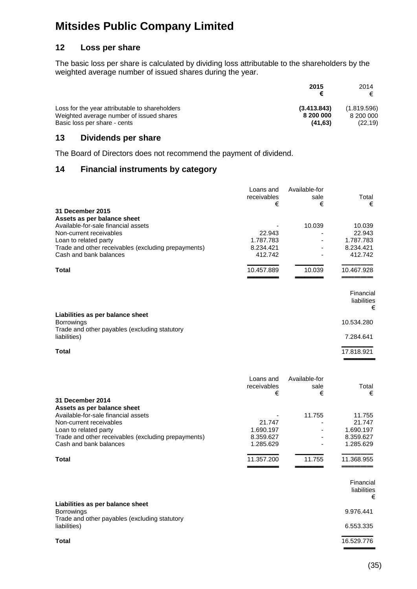# **12 Loss per share**

The basic loss per share is calculated by dividing loss attributable to the shareholders by the weighted average number of issued shares during the year.

|                                                | 2015        | 2014        |
|------------------------------------------------|-------------|-------------|
|                                                |             |             |
| Loss for the year attributable to shareholders | (3.413.843) | (1.819.596) |
| Weighted average number of issued shares       | 8 200 000   | 8 200 000   |
| Basic loss per share - cents                   | (41.63)     | (22, 19)    |

# **13 Dividends per share**

The Board of Directors does not recommend the payment of dividend.

### **14 Financial instruments by category**

|                                                                               | Loans and<br>receivables<br>€ | Available-for<br>sale | Total                |
|-------------------------------------------------------------------------------|-------------------------------|-----------------------|----------------------|
| <b>31 December 2015</b>                                                       |                               | €                     | €                    |
| Assets as per balance sheet                                                   |                               |                       |                      |
| Available-for-sale financial assets                                           |                               | 10.039                | 10.039               |
| Non-current receivables                                                       | 22.943                        |                       | 22.943               |
| Loan to related party                                                         | 1.787.783                     |                       | 1.787.783            |
| Trade and other receivables (excluding prepayments)<br>Cash and bank balances | 8.234.421<br>412.742          |                       | 8.234.421<br>412.742 |
|                                                                               |                               |                       |                      |
| <b>Total</b>                                                                  | 10.457.889                    | 10.039                | 10.467.928           |
|                                                                               |                               |                       |                      |
|                                                                               |                               |                       | Financial            |
|                                                                               |                               |                       | liabilities          |
| Liabilities as per balance sheet                                              |                               |                       | €                    |
| Borrowings                                                                    |                               |                       | 10.534.280           |
| Trade and other payables (excluding statutory                                 |                               |                       |                      |
| liabilities)                                                                  |                               |                       | 7.284.641            |
| Total                                                                         |                               |                       | 17.818.921           |
|                                                                               |                               |                       |                      |
|                                                                               | Loans and                     | Available-for         |                      |
|                                                                               | receivables                   | sale                  | Total                |
|                                                                               | €                             | €                     | €                    |
| <b>31 December 2014</b>                                                       |                               |                       |                      |
| Assets as per balance sheet<br>Available-for-sale financial assets            |                               | 11.755                | 11.755               |
| Non-current receivables                                                       | 21.747                        |                       | 21.747               |
| Loan to related party                                                         | 1.690.197                     |                       | 1.690.197            |
| Trade and other receivables (excluding prepayments)                           | 8.359.627                     |                       | 8.359.627            |
| Cash and bank balances                                                        | 1.285.629                     |                       | 1.285.629            |
| Total                                                                         | 11.357.200                    | 11.755                | 11.368.955           |
|                                                                               |                               |                       |                      |
|                                                                               |                               |                       | Financial            |
|                                                                               |                               |                       | liabilities          |
| Liabilities as per balance sheet                                              |                               |                       | €                    |
| Borrowings                                                                    |                               |                       | 9.976.441            |
| Trade and other payables (excluding statutory                                 |                               |                       |                      |
| liabilities)                                                                  |                               |                       | 6.553.335            |
| <b>Total</b>                                                                  |                               |                       | 16.529.776           |
|                                                                               |                               |                       |                      |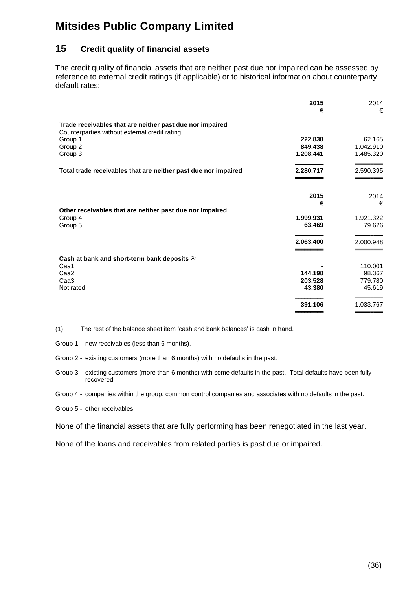# **15 Credit quality of financial assets**

The credit quality of financial assets that are neither past due nor impaired can be assessed by reference to external credit ratings (if applicable) or to historical information about counterparty default rates:

|           | 2014         |
|-----------|--------------|
| €         | €            |
|           |              |
| 222.838   | 62.165       |
| 849.438   | 1.042.910    |
| 1.208.441 | 1.485.320    |
| 2.280.717 | 2.590.395    |
|           |              |
|           | 2014         |
| €         | €            |
|           |              |
| 1.999.931 | 1.921.322    |
| 63.469    | 79.626       |
| 2.063.400 | 2.000.948    |
|           |              |
|           |              |
|           | 110.001      |
| 144.198   | 98.367       |
| 203.528   | 779.780      |
| 43.380    | 45.619       |
| 391.106   | 1.033.767    |
|           | 2015<br>2015 |

(1) The rest of the balance sheet item 'cash and bank balances' is cash in hand.

Group 1 – new receivables (less than 6 months).

Group 2 - existing customers (more than 6 months) with no defaults in the past.

Group 3 - existing customers (more than 6 months) with some defaults in the past. Total defaults have been fully recovered.

Group 4 - companies within the group, common control companies and associates with no defaults in the past.

Group 5 - other receivables

None of the financial assets that are fully performing has been renegotiated in the last year.

None of the loans and receivables from related parties is past due or impaired.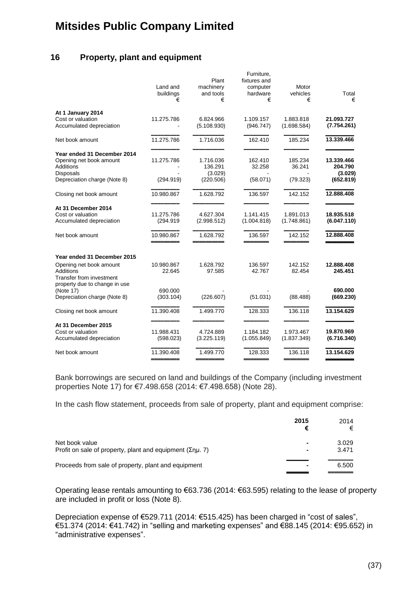## **16 Property, plant and equipment**

|                                                                        | Land and<br>buildings<br>€ | Plant<br>machinery<br>and tools<br>€ | Furniture,<br>fixtures and<br>computer<br>hardware<br>€ | Motor<br>vehicles<br>€   | Total<br>€                |
|------------------------------------------------------------------------|----------------------------|--------------------------------------|---------------------------------------------------------|--------------------------|---------------------------|
| At 1 January 2014                                                      |                            |                                      |                                                         |                          |                           |
| Cost or valuation<br>Accumulated depreciation                          | 11.275.786                 | 6.824.966<br>(5.108.930)             | 1.109.157<br>(946.747)                                  | 1.883.818<br>(1.698.584) | 21.093.727<br>(7.754.261) |
| Net book amount                                                        | 11.275.786                 | 1.716.036                            | 162.410                                                 | 185.234                  | 13.339.466                |
| Year ended 31 December 2014                                            |                            |                                      |                                                         |                          |                           |
| Opening net book amount<br><b>Additions</b>                            | 11.275.786                 | 1.716.036<br>136.291                 | 162.410<br>32.258                                       | 185.234<br>36.241        | 13.339.466<br>204.790     |
| <b>Disposals</b>                                                       |                            | (3.029)                              |                                                         |                          | (3.029)                   |
| Depreciation charge (Note 8)                                           | (294.919)                  | (220.506)                            | (58.071)                                                | (79.323)                 | (652.819)                 |
| Closing net book amount                                                | 10.980.867                 | 1.628.792                            | 136.597                                                 | 142.152                  | 12.888.408                |
| At 31 December 2014                                                    |                            |                                      |                                                         |                          |                           |
| Cost or valuation                                                      | 11.275.786                 | 4.627.304                            | 1.141.415                                               | 1.891.013                | 18.935.518                |
| Accumulated depreciation                                               | (294.919                   | (2.998.512)                          | (1.004.818)                                             | (1.748.861)              | (6.047.110)               |
| Net book amount                                                        | 10.980.867                 | 1.628.792                            | 136.597                                                 | 142.152                  | 12.888.408                |
| Year ended 31 December 2015                                            |                            |                                      |                                                         |                          |                           |
| Opening net book amount                                                | 10.980.867                 | 1.628.792                            | 136.597                                                 | 142.152                  | 12.888.408                |
| Additions<br>Transfer from investment<br>property due to change in use | 22.645                     | 97.585                               | 42.767                                                  | 82.454                   | 245.451                   |
| (Note 17)                                                              | 690.000                    |                                      |                                                         |                          | 690.000                   |
| Depreciation charge (Note 8)                                           | (303.104)                  | (226.607)                            | (51.031)                                                | (88.488)                 | (669.230)                 |
| Closing net book amount                                                | 11.390.408                 | 1.499.770                            | 128.333                                                 | 136.118                  | 13.154.629                |
| At 31 December 2015                                                    |                            |                                      |                                                         |                          |                           |
| Cost or valuation                                                      | 11.988.431                 | 4.724.889                            | 1.184.182                                               | 1.973.467                | 19.870.969                |
| Accumulated depreciation                                               | (598.023)                  | (3.225.119)                          | (1.055.849)                                             | (1.837.349)              | (6.716.340)               |
| Net book amount                                                        | 11.390.408                 | 1.499.770                            | 128.333                                                 | 136.118                  | 13.154.629                |
|                                                                        |                            |                                      |                                                         |                          |                           |

Bank borrowings are secured on land and buildings of the Company (including investment properties Note 17) for €7.498.658 (2014: €7.498.658) (Note 28).

In the cash flow statement, proceeds from sale of property, plant and equipment comprise:

|                                                                                     | 2015<br>€      | 2014<br>€      |
|-------------------------------------------------------------------------------------|----------------|----------------|
| Net book value<br>Profit on sale of property, plant and equipment ( $\Sigma$ ημ. 7) | $\blacksquare$ | 3.029<br>3.471 |
| Proceeds from sale of property, plant and equipment                                 | $\blacksquare$ | 6.500          |

Operating lease rentals amounting to €63.736 (2014: €63.595) relating to the lease of property are included in profit or loss (Note 8).

Depreciation expense of €529.711 (2014: €515.425) has been charged in "cost of sales", €51.374 (2014: €41.742) in "selling and marketing expenses" and €88.145 (2014: €95.652) in "administrative expenses".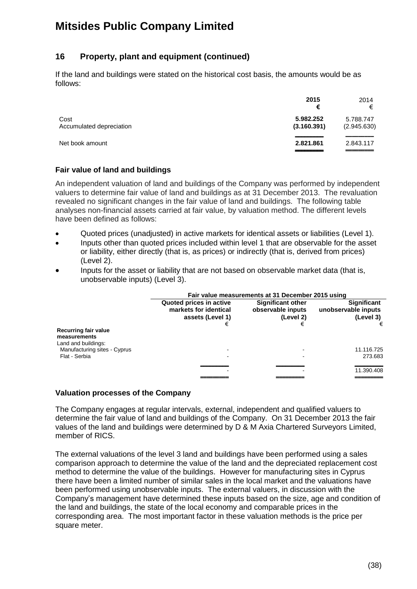# **16 Property, plant and equipment (continued)**

If the land and buildings were stated on the historical cost basis, the amounts would be as follows:

|                                  | 2015<br>€                | 2014<br>€                |
|----------------------------------|--------------------------|--------------------------|
| Cost<br>Accumulated depreciation | 5.982.252<br>(3.160.391) | 5.788.747<br>(2.945.630) |
| Net book amount                  | 2.821.861                | 2.843.117                |

### **Fair value of land and buildings**

An independent valuation of land and buildings of the Company was performed by independent valuers to determine fair value of land and buildings as at 31 December 2013. The revaluation revealed no significant changes in the fair value of land and buildings. The following table analyses non-financial assets carried at fair value, by valuation method. The different levels have been defined as follows:

- Quoted prices (unadjusted) in active markets for identical assets or liabilities (Level 1).
- Inputs other than quoted prices included within level 1 that are observable for the asset or liability, either directly (that is, as prices) or indirectly (that is, derived from prices) (Level 2).
- Inputs for the asset or liability that are not based on observable market data (that is, unobservable inputs) (Level 3).

|                                                                    | Fair value measurements at 31 December 2015 using                    |                                                            |                                                             |  |
|--------------------------------------------------------------------|----------------------------------------------------------------------|------------------------------------------------------------|-------------------------------------------------------------|--|
|                                                                    | Quoted prices in active<br>markets for identical<br>assets (Level 1) | <b>Significant other</b><br>observable inputs<br>(Level 2) | <b>Significant</b><br>unobservable inputs<br>(Level 3)<br>€ |  |
| <b>Recurring fair value</b><br>measurements<br>Land and buildings: |                                                                      |                                                            |                                                             |  |
| Manufacturing sites - Cyprus<br>Flat - Serbia                      |                                                                      | -                                                          | 11.116.725<br>273.683                                       |  |
|                                                                    |                                                                      |                                                            | 11.390.408                                                  |  |

#### **Valuation processes of the Company**

The Company engages at regular intervals, external, independent and qualified valuers to determine the fair value of land and buildings of the Company. On 31 December 2013 the fair values of the land and buildings were determined by D & M Axia Chartered Surveyors Limited, member of RICS.

The external valuations of the level 3 land and buildings have been performed using a sales comparison approach to determine the value of the land and the depreciated replacement cost method to determine the value of the buildings. However for manufacturing sites in Cyprus there have been a limited number of similar sales in the local market and the valuations have been performed using unobservable inputs. The external valuers, in discussion with the Company's management have determined these inputs based on the size, age and condition of the land and buildings, the state of the local economy and comparable prices in the corresponding area. The most important factor in these valuation methods is the price per square meter.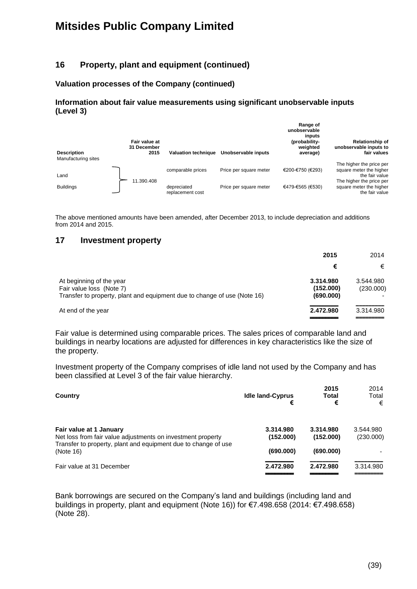# **16 Property, plant and equipment (continued)**

#### **Valuation processes of the Company (continued)**

#### **Information about fair value measurements using significant unobservable inputs (Level 3)**

| <b>Description</b><br>Manufacturing sites | Fair value at<br>31 December<br>2015 | <b>Valuation technique</b>      | Unobservable inputs    | Range of<br>unobservable<br>inputs<br>(probability-<br>weighted<br>average) | <b>Relationship of</b><br>unobservable inputs to<br>fair values       |
|-------------------------------------------|--------------------------------------|---------------------------------|------------------------|-----------------------------------------------------------------------------|-----------------------------------------------------------------------|
| Land                                      |                                      | comparable prices               | Price per square meter | €200-€750 (€293)                                                            | The higher the price per<br>square meter the higher<br>the fair value |
| <b>Buildings</b>                          | 11.390.408                           | depreciated<br>replacement cost | Price per square meter | €479-€565 (€530)                                                            | The higher the price per<br>square meter the higher<br>the fair value |

The above mentioned amounts have been amended, after December 2013, to include depreciation and additions from 2014 and 2015.

### **17 Investment property**

|                                                                                                                                  | 2015                                | 2014                   |
|----------------------------------------------------------------------------------------------------------------------------------|-------------------------------------|------------------------|
|                                                                                                                                  | €                                   | €                      |
| At beginning of the year<br>Fair value loss (Note 7)<br>Transfer to property, plant and equipment due to change of use (Note 16) | 3.314.980<br>(152.000)<br>(690.000) | 3.544.980<br>(230.000) |
| At end of the year                                                                                                               | 2.472.980                           | 3.314.980              |

Fair value is determined using comparable prices. The sales prices of comparable land and buildings in nearby locations are adjusted for differences in key characteristics like the size of the property.

Investment property of the Company comprises of idle land not used by the Company and has been classified at Level 3 of the fair value hierarchy.

| Country                                                                                                                       | <b>Idle land-Cyprus</b><br>€ | 2015<br>Total<br>€ | 2014<br>Total<br>€ |
|-------------------------------------------------------------------------------------------------------------------------------|------------------------------|--------------------|--------------------|
| Fair value at 1 January                                                                                                       | 3.314.980                    | 3.314.980          | 3.544.980          |
| Net loss from fair value adjustments on investment property<br>Transfer to property, plant and equipment due to change of use | (152.000)                    | (152.000)          | (230.000)          |
| (Note 16)                                                                                                                     | (690.000)                    | (690.000)          |                    |
| Fair value at 31 December                                                                                                     | 2.472.980                    | 2.472.980          | 3.314.980          |

Bank borrowings are secured on the Company's land and buildings (including land and buildings in property, plant and equipment (Note 16)) for €7.498.658 (2014: €7.498.658) (Note 28).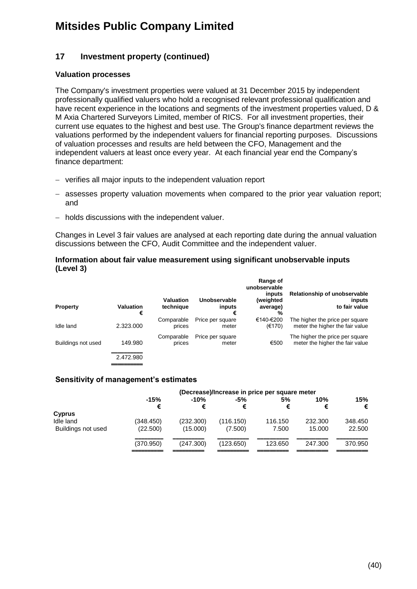## **17 Investment property (continued)**

#### **Valuation processes**

The Company's investment properties were valued at 31 December 2015 by independent professionally qualified valuers who hold a recognised relevant professional qualification and have recent experience in the locations and segments of the investment properties valued, D & M Axia Chartered Surveyors Limited, member of RICS. For all investment properties, their current use equates to the highest and best use. The Group's finance department reviews the valuations performed by the independent valuers for financial reporting purposes. Discussions of valuation processes and results are held between the CFO, Management and the independent valuers at least once every year. At each financial year end the Company's finance department:

- verifies all major inputs to the independent valuation report
- assesses property valuation movements when compared to the prior year valuation report; and
- $-$  holds discussions with the independent valuer.

Changes in Level 3 fair values are analysed at each reporting date during the annual valuation discussions between the CFO, Audit Committee and the independent valuer.

#### **Information about fair value measurement using significant unobservable inputs (Level 3)**

| <b>Property</b>    | Valuation<br>€       | <b>Valuation</b><br>technique | Unobservable<br>inputs<br>€ | Range of<br>unobservable<br>inputs<br>(weighted<br>average)<br>% | Relationship of unobservable<br>inputs<br>to fair value            |
|--------------------|----------------------|-------------------------------|-----------------------------|------------------------------------------------------------------|--------------------------------------------------------------------|
| Idle land          | 2.323.000            | Comparable<br>prices          | Price per square<br>meter   | €140-€200<br>(E170)                                              | The higher the price per square<br>meter the higher the fair value |
| Buildings not used | 149.980<br>2.472.980 | Comparable<br>prices          | Price per square<br>meter   | €500                                                             | The higher the price per square<br>meter the higher the fair value |

#### **Sensitivity of management's estimates**

|                    | (Decrease)/Increase in price per square meter |           |           |         |         |         |
|--------------------|-----------------------------------------------|-----------|-----------|---------|---------|---------|
|                    | $-15%$                                        | $-10%$    | $-5%$     | 5%      | 10%     | 15%     |
|                    | €                                             | €         |           | €       | €       | €       |
| Cyprus             |                                               |           |           |         |         |         |
| Idle land          | (348.450)                                     | (232.300) | (116.150) | 116.150 | 232.300 | 348.450 |
| Buildings not used | (22.500)                                      | (15.000)  | (7.500)   | 7.500   | 15.000  | 22,500  |
|                    | (370.950)                                     | (247.300) | (123.650) | 123.650 | 247.300 | 370.950 |
|                    |                                               |           |           |         |         |         |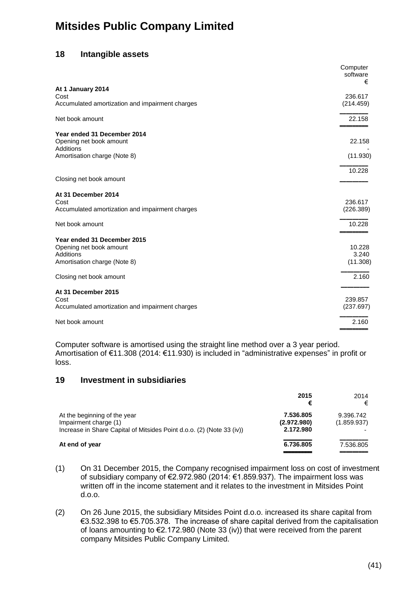# **18 Intangible assets**

|                                                        | Computer<br>software<br>€ |
|--------------------------------------------------------|---------------------------|
| At 1 January 2014                                      |                           |
| Cost                                                   | 236.617                   |
| Accumulated amortization and impairment charges        | (214.459)                 |
| Net book amount                                        | 22.158                    |
| Year ended 31 December 2014                            |                           |
| Opening net book amount                                | 22.158                    |
| Additions<br>Amortisation charge (Note 8)              | (11.930)                  |
|                                                        |                           |
|                                                        | 10.228                    |
| Closing net book amount                                |                           |
| At 31 December 2014                                    |                           |
| Cost                                                   | 236.617                   |
| Accumulated amortization and impairment charges        | (226.389)                 |
| Net book amount                                        | 10.228                    |
|                                                        |                           |
| Year ended 31 December 2015<br>Opening net book amount | 10.228                    |
| Additions                                              | 3.240                     |
| Amortisation charge (Note 8)                           | (11.308)                  |
| Closing net book amount                                | 2.160                     |
| At 31 December 2015                                    |                           |
| Cost                                                   | 239.857                   |
| Accumulated amortization and impairment charges        | (237.697)                 |
| Net book amount                                        | 2.160                     |

Computer software is amortised using the straight line method over a 3 year period. Amortisation of €11.308 (2014: €11.930) is included in "administrative expenses" in profit or loss.

# **19 Investment in subsidiaries**

|                                                                                                                                | 2015<br>€                             | 2014<br>€                |
|--------------------------------------------------------------------------------------------------------------------------------|---------------------------------------|--------------------------|
| At the beginning of the year<br>Impairment charge (1)<br>Increase in Share Capital of Mitsides Point d.o.o. (2) (Note 33 (iv)) | 7.536.805<br>(2.972.980)<br>2.172.980 | 9.396.742<br>(1.859.937) |
| At end of year                                                                                                                 | 6.736.805                             | 7.536.805                |

- (1) On 31 December 2015, the Company recognised impairment loss on cost of investment of subsidiary company of €2.972.980 (2014: €1.859.937). The impairment loss was written off in the income statement and it relates to the investment in Mitsides Point d.o.o.
- (2) On 26 June 2015, the subsidiary Mitsides Point d.o.o. increased its share capital from €3.532.398 to €5.705.378. The increase of share capital derived from the capitalisation of loans amounting to €2.172.980 (Note 33 (iv)) that were received from the parent company Mitsides Public Company Limited.

=========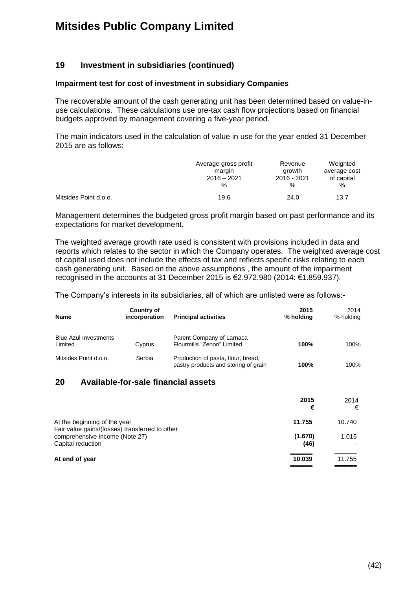### **19 Investment in subsidiaries (continued)**

#### **Impairment test for cost of investment in subsidiary Companies**

The recoverable amount of the cash generating unit has been determined based on value-inuse calculations. These calculations use pre-tax cash flow projections based on financial budgets approved by management covering a five-year period.

The main indicators used in the calculation of value in use for the year ended 31 December 2015 are as follows:

|                       | Average gross profit | Revenue     | Weighted     |
|-----------------------|----------------------|-------------|--------------|
|                       | margin               | growth      | average cost |
|                       | $2016 - 2021$        | 2016 - 2021 | of capital   |
|                       | %                    | %           | %            |
| Mitsides Point d.o.o. | 19,6                 | 24,0        | 13,7         |

Management determines the budgeted gross profit margin based on past performance and its expectations for market development.

The weighted average growth rate used is consistent with provisions included in data and reports which relates to the sector in which the Company operates. The weighted average cost of capital used does not include the effects of tax and reflects specific risks relating to each cash generating unit. Based on the above assumptions , the amount of the impairment recognised in the accounts at 31 December 2015 is €2.972.980 (2014: €1.859.937).

The Company's interests in its subsidiaries, all of which are unlisted were as follows:-

| <b>Name</b>                             | Country of<br>incorporation | <b>Principal activities</b>                                                | 2015<br>% holding | 2014<br>% holding |
|-----------------------------------------|-----------------------------|----------------------------------------------------------------------------|-------------------|-------------------|
| <b>Blue Azul Investments</b><br>Limited | Cyprus                      | Parent Company of Larnaca<br>Flourmills "Zenon" Limited                    | 100%              | 100%              |
| Mitsides Point d.o.o.                   | Serbia                      | Production of pasta, flour, bread,<br>pastry products and storing of grain | 100%              | 100%              |

### **20 Available-for-sale financial assets**

|                                                                                                       | 2015<br>€       | 2014<br>€ |
|-------------------------------------------------------------------------------------------------------|-----------------|-----------|
| At the beginning of the year                                                                          | 11.755          | 10.740    |
| Fair value gains/(losses) transferred to other<br>comprehensive income (Note 27)<br>Capital reduction | (1.670)<br>(46) | 1.015     |
| At end of year                                                                                        | 10.039          | 11.755    |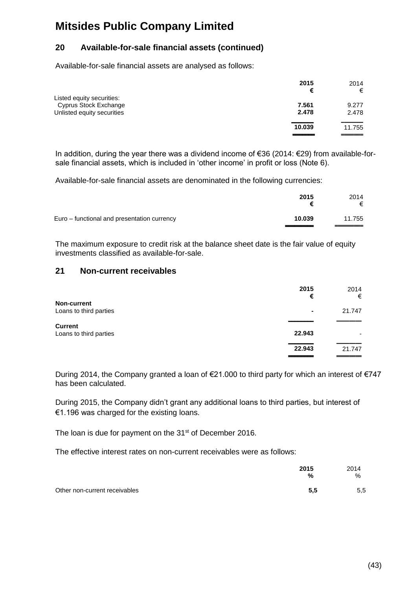# **20 Available-for-sale financial assets (continued)**

Available-for-sale financial assets are analysed as follows:

|                            | 2015<br>€ | 2014<br>€ |
|----------------------------|-----------|-----------|
| Listed equity securities:  |           |           |
| Cyprus Stock Exchange      | 7.561     | 9.277     |
| Unlisted equity securities | 2.478     | 2.478     |
|                            | 10.039    | 11.755    |
|                            |           |           |

In addition, during the year there was a dividend income of €36 (2014: €29) from available-forsale financial assets, which is included in 'other income' in profit or loss (Note 6).

Available-for-sale financial assets are denominated in the following currencies:

|                                             | 2015<br>€ | 2014<br>€ |
|---------------------------------------------|-----------|-----------|
| Euro – functional and presentation currency | 10.039    | 11.755    |

The maximum exposure to credit risk at the balance sheet date is the fair value of equity investments classified as available-for-sale.

### **21 Non-current receivables**

|                        | 2015<br>€      | 2014<br>€ |
|------------------------|----------------|-----------|
| Non-current            |                |           |
| Loans to third parties | $\blacksquare$ | 21.747    |
| <b>Current</b>         |                |           |
| Loans to third parties | 22.943         | ۰         |
|                        | 22.943         | 21.747    |
|                        |                |           |

During 2014, the Company granted a loan of €21.000 to third party for which an interest of €747 has been calculated.

During 2015, the Company didn't grant any additional loans to third parties, but interest of €1.196 was charged for the existing loans.

The loan is due for payment on the 31<sup>st</sup> of December 2016.

The effective interest rates on non-current receivables were as follows:

|                               | 2015<br>% | 2014<br>% |
|-------------------------------|-----------|-----------|
| Other non-current receivables | 5.5       | 5,5       |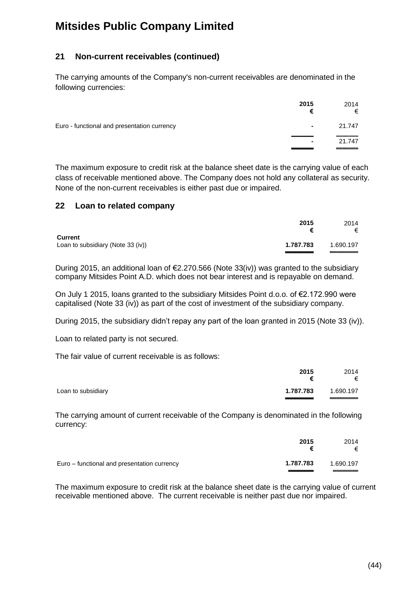# **21 Non-current receivables (continued)**

The carrying amounts of the Company's non-current receivables are denominated in the following currencies:

|                                             | 2015<br>€      | 2014<br>€ |
|---------------------------------------------|----------------|-----------|
| Euro - functional and presentation currency | $\blacksquare$ | 21.747    |
|                                             | $\blacksquare$ | 21.747    |

The maximum exposure to credit risk at the balance sheet date is the carrying value of each class of receivable mentioned above. The Company does not hold any collateral as security. None of the non-current receivables is either past due or impaired.

### **22 Loan to related company**

| 2015<br>€ | 2014<br>€ |
|-----------|-----------|
| 1.787.783 | 1.690.197 |
|           |           |

During 2015, an additional loan of €2.270.566 (Note 33(iv)) was granted to the subsidiary company Mitsides Point A.D. which does not bear interest and is repayable on demand.

On July 1 2015, loans granted to the subsidiary Mitsides Point d.o.o. of €2.172.990 were capitalised (Note 33 (iv)) as part of the cost of investment of the subsidiary company.

During 2015, the subsidiary didn't repay any part of the loan granted in 2015 (Note 33 (iv)).

Loan to related party is not secured.

The fair value of current receivable is as follows:

|                    | 2015<br>€            | 2014<br>€ |
|--------------------|----------------------|-----------|
| Loan to subsidiary | 1.787.783<br>_______ | 1.690.197 |

The carrying amount of current receivable of the Company is denominated in the following currency:

|                                             | 2015<br>€ | 2014<br>€ |
|---------------------------------------------|-----------|-----------|
| Euro – functional and presentation currency | 1.787.783 | 1.690.197 |

The maximum exposure to credit risk at the balance sheet date is the carrying value of current receivable mentioned above. The current receivable is neither past due nor impaired.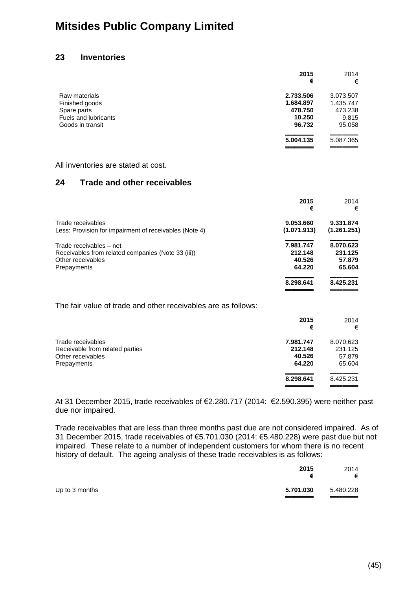### **23 Inventories**

|                                                                                                                   | 2015<br>€                                             | 2014<br>€                                            |
|-------------------------------------------------------------------------------------------------------------------|-------------------------------------------------------|------------------------------------------------------|
| Raw materials<br>Finished goods<br>Spare parts<br><b>Fuels and lubricants</b><br>Goods in transit                 | 2.733.506<br>1.684.897<br>478.750<br>10.250<br>96.732 | 3.073.507<br>1.435.747<br>473.238<br>9.815<br>95.058 |
|                                                                                                                   | 5.004.135                                             | 5.087.365                                            |
| All inventories are stated at cost.                                                                               |                                                       |                                                      |
| 24<br>Trade and other receivables                                                                                 |                                                       |                                                      |
|                                                                                                                   | 2015<br>€                                             | 2014<br>€                                            |
| Trade receivables<br>Less: Provision for impairment of receivables (Note 4)                                       | 9.053.660<br>(1.071.913)                              | 9.331.874<br>(1.261.251)                             |
| Trade receivables – net<br>Receivables from related companies (Note 33 (iii))<br>Other receivables<br>Prepayments | 7.981.747<br>212.148<br>40.526<br>64.220              | 8.070.623<br>231.125<br>57.879<br>65.604             |
|                                                                                                                   | 8.298.641                                             | 8.425.231                                            |
| The fair value of trade and other receivables are as follows:                                                     |                                                       |                                                      |
|                                                                                                                   | 2015<br>€                                             | 2014<br>€                                            |

| Trade receivables<br>Receivable from related parties<br>Other receivables | 7.981.747<br>212.148<br>40.526 | 8.070.623<br>231.125<br>57.879 |
|---------------------------------------------------------------------------|--------------------------------|--------------------------------|
| Prepayments                                                               | 64.220                         | 65.604                         |
|                                                                           | 8.298.641                      | 8.425.231                      |

At 31 December 2015, trade receivables of €2.280.717 (2014: €2.590.395) were neither past due nor impaired.

Trade receivables that are less than three months past due are not considered impaired. As of 31 December 2015, trade receivables of €5.701.030 (2014: €5.480.228) were past due but not impaired. These relate to a number of independent customers for whom there is no recent history of default. The ageing analysis of these trade receivables is as follows:

|                | 2015<br>€           | 2014<br>€ |
|----------------|---------------------|-----------|
| Up to 3 months | 5.701.030<br>______ | 5.480.228 |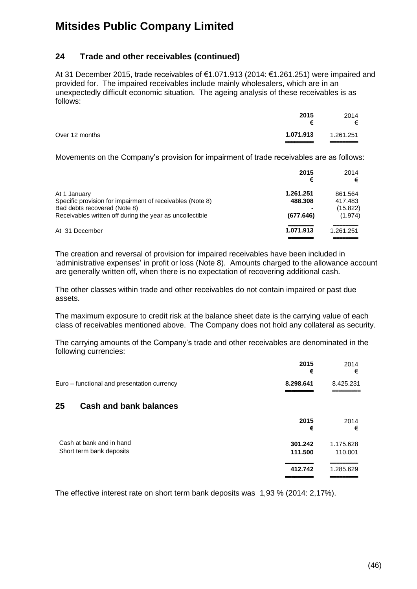### **24 Trade and other receivables (continued)**

At 31 December 2015, trade receivables of €1.071.913 (2014: €1.261.251) were impaired and provided for. The impaired receivables include mainly wholesalers, which are in an unexpectedly difficult economic situation. The ageing analysis of these receivables is as follows:

|                | 2015      | 2014<br>€ |
|----------------|-----------|-----------|
| Over 12 months | 1.071.913 | 1.261.251 |

Movements on the Company's provision for impairment of trade receivables are as follows:

|                                                           | 2015<br>€ | 2014<br>€ |
|-----------------------------------------------------------|-----------|-----------|
| At 1 January                                              | 1.261.251 | 861.564   |
| Specific provision for impairment of receivables (Note 8) | 488.308   | 417.483   |
| Bad debts recovered (Note 8)                              |           | (15.822)  |
| Receivables written off during the year as uncollectible  | (677.646) | (1.974)   |
| At 31 December                                            | 1.071.913 | 1.261.251 |
|                                                           |           |           |

The creation and reversal of provision for impaired receivables have been included in 'administrative expenses' in profit or loss (Note 8). Amounts charged to the allowance account are generally written off, when there is no expectation of recovering additional cash.

The other classes within trade and other receivables do not contain impaired or past due assets.

The maximum exposure to credit risk at the balance sheet date is the carrying value of each class of receivables mentioned above. The Company does not hold any collateral as security.

The carrying amounts of the Company's trade and other receivables are denominated in the following currencies:

|                                                      | 2015<br>€          | 2014<br>€            |
|------------------------------------------------------|--------------------|----------------------|
| Euro – functional and presentation currency          | 8.298.641          | 8.425.231            |
| 25<br><b>Cash and bank balances</b>                  |                    |                      |
|                                                      | 2015<br>€          | 2014<br>€            |
| Cash at bank and in hand<br>Short term bank deposits | 301.242<br>111.500 | 1.175.628<br>110.001 |
|                                                      | 412.742            | 1.285.629            |

The effective interest rate on short term bank deposits was 1,93 % (2014: 2,17%).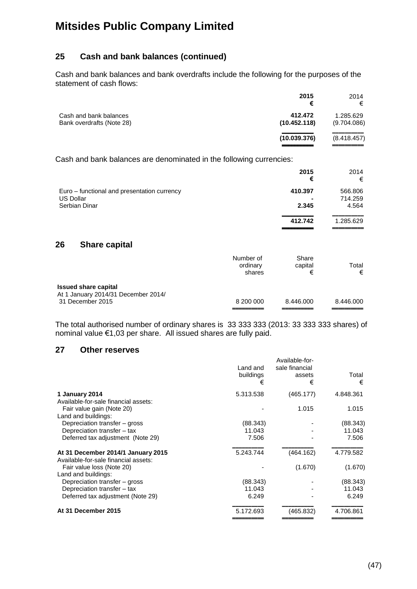# **25 Cash and bank balances (continued)**

Cash and bank balances and bank overdrafts include the following for the purposes of the statement of cash flows:

|                                                     | 2015<br>€               | 2014<br>€                |
|-----------------------------------------------------|-------------------------|--------------------------|
| Cash and bank balances<br>Bank overdrafts (Note 28) | 412.472<br>(10.452.118) | 1.285.629<br>(9.704.086) |
|                                                     | (10.039.376)            | (8.418.457)              |

Cash and bank balances are denominated in the following currencies:

|                                                                                  |                                 | 2015<br>€             | 2014<br>€                   |
|----------------------------------------------------------------------------------|---------------------------------|-----------------------|-----------------------------|
| Euro – functional and presentation currency<br><b>US Dollar</b><br>Serbian Dinar |                                 | 410.397<br>2.345      | 566,806<br>714.259<br>4.564 |
|                                                                                  |                                 | 412.742               | 1.285.629                   |
| 26<br><b>Share capital</b>                                                       |                                 |                       |                             |
|                                                                                  | Number of<br>ordinary<br>shares | Share<br>capital<br>€ | Total<br>€                  |
| <b>Issued share capital</b><br>At 1 January 2014/31 December 2014/               |                                 |                       |                             |
| 31 December 2015                                                                 | 8 200 000                       | 8.446.000             | 8.446.000                   |

The total authorised number of ordinary shares is 33 333 333 (2013: 33 333 333 shares) of nominal value €1,03 per share. All issued shares are fully paid.

========== ========== ==========

### **27 Other reserves**

|                                                                            | Land and<br>buildings<br>€ | Available-for-<br>sale financial<br>assets<br>€ | Total<br>€ |
|----------------------------------------------------------------------------|----------------------------|-------------------------------------------------|------------|
| 1 January 2014                                                             | 5.313.538                  | (465.177)                                       | 4.848.361  |
| Available-for-sale financial assets:                                       |                            |                                                 |            |
| Fair value gain (Note 20)<br>Land and buildings:                           |                            | 1.015                                           | 1.015      |
| Depreciation transfer - gross                                              | (88.343)                   |                                                 | (88.343)   |
| Depreciation transfer – tax                                                | 11.043                     |                                                 | 11.043     |
| Deferred tax adjustment (Note 29)                                          | 7.506                      |                                                 | 7.506      |
| At 31 December 2014/1 January 2015<br>Available-for-sale financial assets: | 5.243.744                  | (464.162)                                       | 4.779.582  |
| Fair value loss (Note 20)                                                  |                            | (1.670)                                         | (1.670)    |
| Land and buildings:                                                        |                            |                                                 |            |
| Depreciation transfer - gross                                              | (88.343)                   |                                                 | (88.343)   |
| Depreciation transfer - tax                                                | 11.043                     |                                                 | 11.043     |
| Deferred tax adjustment (Note 29)                                          | 6.249                      |                                                 | 6.249      |
| At 31 December 2015                                                        | 5.172.693                  | (465.832)                                       | 4.706.861  |
|                                                                            |                            |                                                 |            |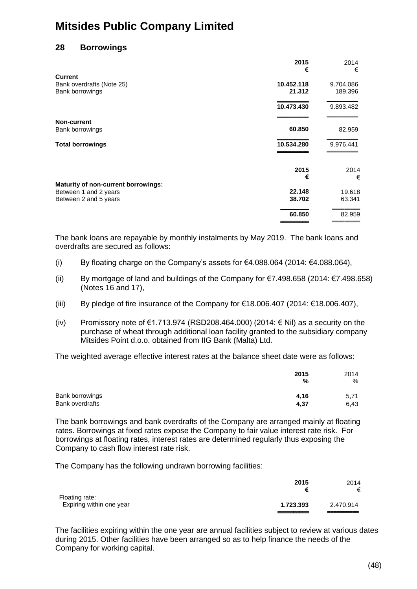### **28 Borrowings**

|                                                | 2015<br>€  | 2014<br>€        |
|------------------------------------------------|------------|------------------|
| Current                                        |            |                  |
| Bank overdrafts (Note 25)                      | 10.452.118 | 9.704.086        |
| Bank borrowings                                | 21.312     | 189.396          |
|                                                | 10.473.430 | 9.893.482        |
| <b>Non-current</b>                             |            |                  |
| Bank borrowings                                | 60.850     | 82.959           |
| <b>Total borrowings</b>                        | 10.534.280 | 9.976.441        |
|                                                | 2015       | 2014             |
|                                                | €          | €                |
| Maturity of non-current borrowings:            | 22.148     |                  |
| Between 1 and 2 years<br>Between 2 and 5 years | 38.702     | 19.618<br>63.341 |
|                                                |            |                  |
|                                                | 60.850     | 82.959           |
|                                                |            |                  |

The bank loans are repayable by monthly instalments by May 2019. The bank loans and overdrafts are secured as follows:

- (i) By floating charge on the Company's assets for €4.088.064 (2014:  $€4.088.064$ ),
- (ii) By mortgage of land and buildings of the Company for €7.498.658 (2014: €7.498.658) (Notes 16 and 17),
- (iii) By pledge of fire insurance of the Company for €18.006.407 (2014: €18.006.407),
- (iv) Promissory note of €1.713.974 (RSD208.464.000) (2014:  $€$  Nil) as a security on the purchase of wheat through additional loan facility granted to the subsidiary company Mitsides Point d.o.o. obtained from IIG Bank (Malta) Ltd.

The weighted average effective interest rates at the balance sheet date were as follows:

|                        | 2015<br>% | 2014<br>% |
|------------------------|-----------|-----------|
| Bank borrowings        | 4,16      | 5,71      |
| <b>Bank overdrafts</b> | 4,37      | 6,43      |

The bank borrowings and bank overdrafts of the Company are arranged mainly at floating rates. Borrowings at fixed rates expose the Company to fair value interest rate risk. For borrowings at floating rates, interest rates are determined regularly thus exposing the Company to cash flow interest rate risk.

The Company has the following undrawn borrowing facilities:

|                                            | 2015<br>€ | 2014<br>€ |
|--------------------------------------------|-----------|-----------|
| Floating rate:<br>Expiring within one year | 1.723.393 | 2.470.914 |

The facilities expiring within the one year are annual facilities subject to review at various dates during 2015. Other facilities have been arranged so as to help finance the needs of the Company for working capital.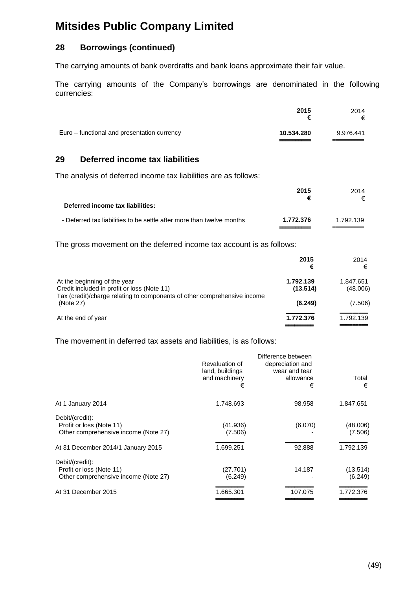# **28 Borrowings (continued)**

The carrying amounts of bank overdrafts and bank loans approximate their fair value.

The carrying amounts of the Company's borrowings are denominated in the following currencies:

|                                                                                       | 2015<br>€             | 2014<br>€             |
|---------------------------------------------------------------------------------------|-----------------------|-----------------------|
| Euro – functional and presentation currency                                           | 10.534.280            | 9.976.441             |
| 29<br>Deferred income tax liabilities                                                 |                       |                       |
| The analysis of deferred income tax liabilities are as follows:                       |                       |                       |
|                                                                                       | 2015<br>€             | 2014<br>€             |
| Deferred income tax liabilities:                                                      |                       |                       |
| - Deferred tax liabilities to be settle after more than twelve months                 | 1.772.376             | 1.792.139             |
| The gross movement on the deferred income tax account is as follows:                  |                       |                       |
|                                                                                       | 2015<br>€             | 2014<br>€             |
| At the beginning of the year<br>Credit included in profit or loss (Note 11)           | 1.792.139<br>(13.514) | 1.847.651<br>(48.006) |
| Tax (credit)/charge relating to components of other comprehensive income<br>(Note 27) | (6.249)               | (7.506)               |
| At the end of year                                                                    | 1.772.376             | 1.792.139             |
|                                                                                       |                       |                       |

The movement in deferred tax assets and liabilities, is as follows:

|                                                                                     | Revaluation of<br>land, buildings<br>and machinery<br>€ | Difference between<br>depreciation and<br>wear and tear<br>allowance<br>€ | Total<br>€          |
|-------------------------------------------------------------------------------------|---------------------------------------------------------|---------------------------------------------------------------------------|---------------------|
| At 1 January 2014                                                                   | 1.748.693                                               | 98.958                                                                    | 1.847.651           |
| Debit/(credit):<br>Profit or loss (Note 11)<br>Other comprehensive income (Note 27) | (41.936)<br>(7.506)                                     | (6.070)                                                                   | (48.006)<br>(7.506) |
| At 31 December 2014/1 January 2015                                                  | 1.699.251                                               | 92.888                                                                    | 1.792.139           |
| Debit/(credit):<br>Profit or loss (Note 11)<br>Other comprehensive income (Note 27) | (27.701)<br>(6.249)                                     | 14.187                                                                    | (13.514)<br>(6.249) |
| At 31 December 2015                                                                 | 1.665.301                                               | 107.075                                                                   | 1.772.376           |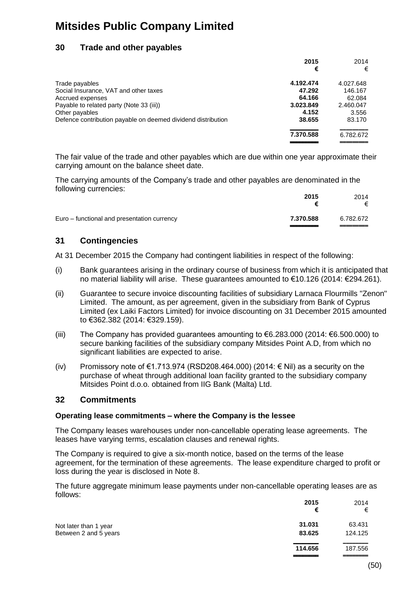# **30 Trade and other payables**

|                                                              | 2015      | 2014      |
|--------------------------------------------------------------|-----------|-----------|
|                                                              | €         | €         |
| Trade payables                                               | 4.192.474 | 4.027.648 |
| Social Insurance, VAT and other taxes                        | 47.292    | 146.167   |
| Accrued expenses                                             | 64.166    | 62.084    |
| Payable to related party (Note 33 (iii))                     | 3.023.849 | 2.460.047 |
| Other payables                                               | 4.152     | 3.556     |
| Defence contribution payable on deemed dividend distribution | 38.655    | 83.170    |
|                                                              | 7.370.588 | 6.782.672 |
|                                                              |           |           |

The fair value of the trade and other payables which are due within one year approximate their carrying amount on the balance sheet date.

The carrying amounts of the Company's trade and other payables are denominated in the following currencies:

|                                             | 2015<br>€ | 2014<br>€ |
|---------------------------------------------|-----------|-----------|
| Euro – functional and presentation currency | 7.370.588 | 6.782.672 |

### **31 Contingencies**

At 31 December 2015 the Company had contingent liabilities in respect of the following:

- (i) Bank guarantees arising in the ordinary course of business from which it is anticipated that no material liability will arise. These guarantees amounted to €10.126 (2014: €294.261).
- (ii) Guarantee to secure invoice discounting facilities of subsidiary Larnaca Flourmills "Zenon" Limited. The amount, as per agreement, given in the subsidiary from Bank of Cyprus Limited (ex Laiki Factors Limited) for invoice discounting on 31 December 2015 amounted to €362.382 (2014: €329.159).
- (iii) The Company has provided quarantees amounting to  $€6.283.000$  (2014:  $€6.500.000$ ) to secure banking facilities of the subsidiary company Mitsides Point A.D, from which no significant liabilities are expected to arise.
- (iv) Promissory note of  $\epsilon$ 1.713.974 (RSD208.464.000) (2014:  $\epsilon$  Nil) as a security on the purchase of wheat through additional loan facility granted to the subsidiary company Mitsides Point d.o.o. obtained from IIG Bank (Malta) Ltd.

#### **32 Commitments**

#### **Operating lease commitments – where the Company is the lessee**

The Company leases warehouses under non-cancellable operating lease agreements. The leases have varying terms, escalation clauses and renewal rights.

The Company is required to give a six-month notice, based on the terms of the lease agreement, for the termination of these agreements. The lease expenditure charged to profit or loss during the year is disclosed in Note 8.

The future aggregate minimum lease payments under non-cancellable operating leases are as follows:

|                                                | 2015<br>€        | 2014<br>€         |
|------------------------------------------------|------------------|-------------------|
| Not later than 1 year<br>Between 2 and 5 years | 31.031<br>83.625 | 63.431<br>124.125 |
|                                                | 114.656          | 187.556           |

======== ========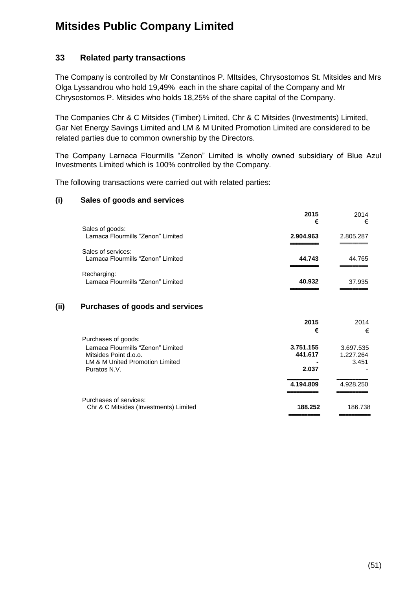### **33 Related party transactions**

The Company is controlled by Mr Constantinos P. MItsides, Chrysostomos St. Mitsides and Mrs Olga Lyssandrou who hold 19,49% each in the share capital of the Company and Mr Chrysostomos P. Mitsides who holds 18,25% of the share capital of the Company.

The Companies Chr & C Mitsides (Timber) Limited, Chr & C Mitsides (Investments) Limited, Gar Net Energy Savings Limited and LM & M United Promotion Limited are considered to be related parties due to common ownership by the Directors.

The Company Larnaca Flourmills "Zenon" Limited is wholly owned subsidiary of Blue Azul Investments Limited which is 100% controlled by the Company.

The following transactions were carried out with related parties:

### **(i) Sales of goods and services**

|                                                          | 2015<br>€ | 2014<br>€ |
|----------------------------------------------------------|-----------|-----------|
| Sales of goods:                                          |           |           |
| Larnaca Flourmills "Zenon" Limited                       | 2.904.963 | 2.805.287 |
| Sales of services:<br>Larnaca Flourmills "Zenon" Limited | 44.743    | 44.765    |
| Recharging:<br>Larnaca Flourmills "Zenon" Limited        | 40.932    | 37.935    |

#### **(ii) Purchases of goods and services**

|                                                                  | 2015      | 2014               |
|------------------------------------------------------------------|-----------|--------------------|
|                                                                  | €         | €                  |
| Purchases of goods:<br>Larnaca Flourmills "Zenon" Limited        | 3.751.155 | 3.697.535          |
| Mitsides Point d.o.o.<br>LM & M United Promotion Limited         | 441.617   | 1.227.264<br>3.451 |
| Puratos N.V.                                                     | 2.037     |                    |
|                                                                  | 4.194.809 | 4.928.250          |
| Purchases of services:<br>Chr & C Mitsides (Investments) Limited | 188.252   | 186.738            |
|                                                                  |           |                    |

========= =========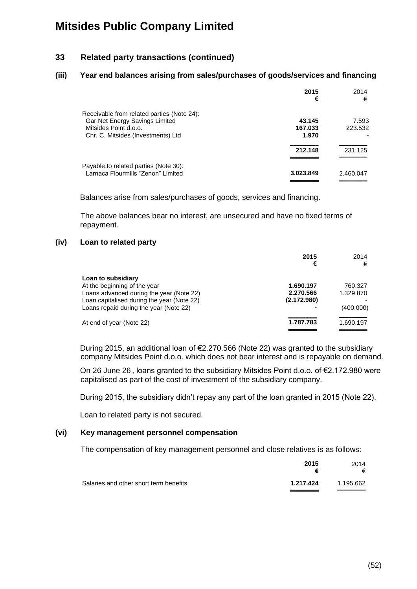### **33 Related party transactions (continued)**

#### **(iii) Year end balances arising from sales/purchases of goods/services and financing**

|                                            | 2015<br>€ | 2014<br>€ |
|--------------------------------------------|-----------|-----------|
| Receivable from related parties (Note 24): |           |           |
| Gar Net Energy Savings Limited             | 43.145    | 7.593     |
| Mitsides Point d.o.o.                      | 167.033   | 223.532   |
| Chr. C. Mitsides (Investments) Ltd         | 1.970     |           |
|                                            | 212.148   | 231.125   |
| Payable to related parties (Note 30):      |           |           |
| Larnaca Flourmills "Zenon" Limited         | 3.023.849 | 2.460.047 |
|                                            |           |           |

Balances arise from sales/purchases of goods, services and financing.

The above balances bear no interest, are unsecured and have no fixed terms of repayment.

### **(iv) Loan to related party**

| 2015<br>€   | 2014<br>€ |
|-------------|-----------|
|             |           |
| 1.690.197   | 760.327   |
| 2.270.566   | 1.329.870 |
| (2.172.980) |           |
| ٠           | (400.000) |
| 1.787.783   | 1.690.197 |
|             |           |

During 2015, an additional loan of €2.270.566 (Note 22) was granted to the subsidiary company Mitsides Point d.o.o. which does not bear interest and is repayable on demand.

On 26 June 26 , loans granted to the subsidiary Mitsides Point d.o.o. of €2.172.980 were capitalised as part of the cost of investment of the subsidiary company.

During 2015, the subsidiary didn't repay any part of the loan granted in 2015 (Note 22).

Loan to related party is not secured.

#### **(vi) Key management personnel compensation**

The compensation of key management personnel and close relatives is as follows:

|                                        | 2015<br>€ | 2014<br>€ |
|----------------------------------------|-----------|-----------|
| Salaries and other short term benefits | 1.217.424 | 1.195.662 |